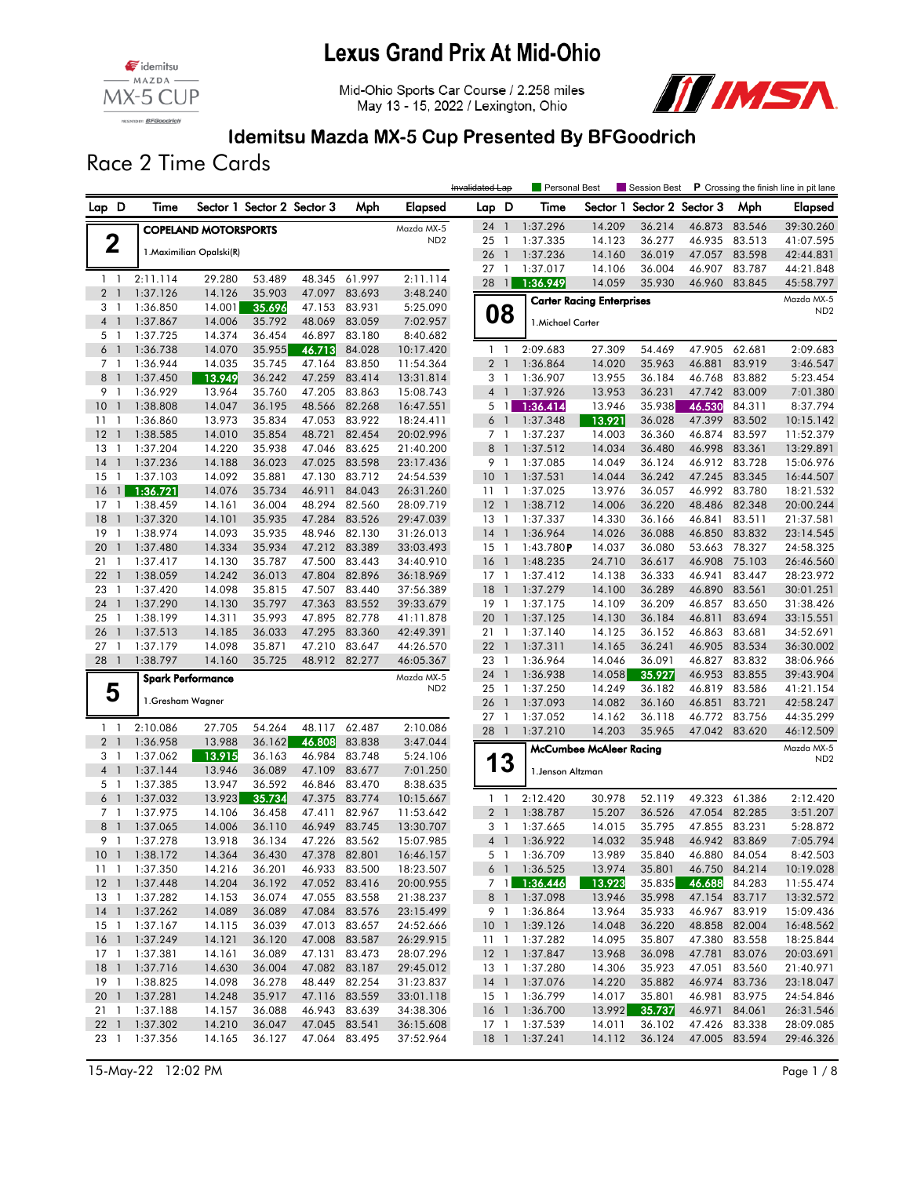

Mid-Ohio Sports Car Course / 2.258 miles May 13 - 15, 2022 / Lexington, Ohio



### Idemitsu Mazda MX-5 Cup Presented By BFGoodrich

Race 2 Time Cards

|                                            |                           |                             |                            |                  |                                |                        | Invalidated Lap         |                                | Personal Best         |                                  | Session Best               |                         |                         | P Crossing the finish line in pit lane |
|--------------------------------------------|---------------------------|-----------------------------|----------------------------|------------------|--------------------------------|------------------------|-------------------------|--------------------------------|-----------------------|----------------------------------|----------------------------|-------------------------|-------------------------|----------------------------------------|
| Lap D                                      | Time                      |                             | Sector 1 Sector 2 Sector 3 |                  | Mph                            | Elapsed                | Lap D                   |                                | Time                  |                                  | Sector 1 Sector 2 Sector 3 |                         | Mph                     | Elapsed                                |
|                                            |                           | <b>COPELAND MOTORSPORTS</b> |                            |                  |                                | Mazda MX-5             | $24-1$                  |                                | 1:37.296              | 14.209                           | 36.214                     | 46.873                  | 83.546                  | 39:30.260                              |
| $\mathbf 2$                                |                           |                             |                            |                  |                                | ND <sub>2</sub>        | 25                      | $\overline{1}$                 | 1:37.335              | 14.123                           | 36.277                     | 46.935                  | 83.513                  | 41:07.595                              |
|                                            |                           | 1. Maximilian Opalski(R)    |                            |                  |                                |                        | 26                      | $\mathbf{1}$                   | 1:37.236              | 14.160                           | 36.019                     | 47.057                  | 83.598                  | 42:44.831                              |
| $1\quad$                                   | 2:11.114                  | 29.280                      | 53.489                     | 48.345           | 61.997                         | 2:11.114               | 27                      | -1                             | 1:37.017              | 14.106                           | 36.004                     | 46.907                  | 83.787                  | 44:21.848                              |
| 2 <sub>1</sub>                             | 1:37.126                  | 14.126                      | 35.903                     | 47.097           | 83.693                         | 3:48.240               | 28                      | $\overline{1}$                 | 1:36.949              | 14.059                           | 35.930                     | 46.960                  | 83.845                  | 45:58.797                              |
| 3 1                                        | 1:36.850                  | 14.001                      | 35.696                     | 47.153           | 83.931                         | 5:25.090               |                         |                                |                       | <b>Carter Racing Enterprises</b> |                            |                         |                         | Mazda MX-5<br>ND <sub>2</sub>          |
| 4 <sup>1</sup>                             | 1:37.867                  | 14.006                      | 35.792                     | 48.069           | 83.059                         | 7:02.957               |                         | 08                             | 1. Michael Carter     |                                  |                            |                         |                         |                                        |
| 5 <sub>1</sub>                             | 1:37.725                  | 14.374                      | 36.454                     | 46.897           | 83.180                         | 8:40.682               |                         |                                |                       |                                  |                            |                         |                         |                                        |
| 6 <sup>1</sup>                             | 1:36.738                  | 14.070                      | 35.955                     | 46.713           | 84.028                         | 10:17.420              | 1 <sub>1</sub>          |                                | 2:09.683              | 27.309                           | 54.469                     | 47.905                  | 62.681                  | 2:09.683                               |
| 7 1                                        | 1:36.944                  | 14.035                      | 35.745                     | 47.164           | 83.850                         | 11:54.364              | 2 <sub>1</sub>          |                                | 1:36.864              | 14.020                           | 35.963                     | 46.881                  | 83.919                  | 3:46.547                               |
| 8<br>$\overline{\phantom{a}}$<br>9<br>-1   | 1:37.450                  | 13.949<br>13.964            | 36.242                     | 47.259<br>47.205 | 83.414<br>83.863               | 13:31.814              | 3 1<br>4 <sup>1</sup>   |                                | 1:36.907              | 13.955                           | 36.184                     | 46.768<br>47.742        | 83.882<br>83.009        | 5:23.454                               |
| 10<br>$\overline{1}$                       | 1:36.929<br>1:38.808      | 14.047                      | 35.760<br>36.195           | 48.566           | 82.268                         | 15:08.743<br>16:47.551 |                         | 5 1                            | 1:37.926<br>1:36.414  | 13.953<br>13.946                 | 36.231<br>35.938           | 46.530                  | 84.311                  | 7:01.380<br>8:37.794                   |
| 11<br>-1                                   | 1:36.860                  | 13.973                      | 35.834                     | 47.053           | 83.922                         | 18:24.411              | 6 <sup>1</sup>          |                                | 1:37.348              | 13.921                           | 36.028                     | 47.399                  | 83.502                  | 10:15.142                              |
| 12<br>$\overline{1}$                       | 1:38.585                  | 14.010                      | 35.854                     | 48.721           | 82.454                         | 20:02.996              | 7 <sub>1</sub>          |                                | 1:37.237              | 14.003                           | 36.360                     | 46.874                  | 83.597                  | 11:52.379                              |
| 13<br>$\overline{1}$                       | 1:37.204                  | 14.220                      | 35.938                     | 47.046           | 83.625                         | 21:40.200              | 8                       | $\overline{1}$                 | 1:37.512              | 14.034                           | 36.480                     | 46.998                  | 83.361                  | 13:29.891                              |
| 14<br>$\overline{1}$                       | 1:37.236                  | 14.188                      | 36.023                     | 47.025           | 83.598                         | 23:17.436              | 9 1                     |                                | 1:37.085              | 14.049                           | 36.124                     | 46.912                  | 83.728                  | 15:06.976                              |
| 15<br>$\mathbf{1}$                         | 1:37.103                  | 14.092                      | 35.881                     | 47.130           | 83.712                         | 24:54.539              | 10 <sub>1</sub>         |                                | 1:37.531              | 14.044                           | 36.242                     | 47.245                  | 83.345                  | 16:44.507                              |
| 16<br>$\mathbf{1}$                         | 1:36.721                  | 14.076                      | 35.734                     | 46.911           | 84.043                         | 26:31.260              | 11 <sub>1</sub>         |                                | 1:37.025              | 13.976                           | 36.057                     | 46.992                  | 83.780                  | 18:21.532                              |
| 17<br>1                                    | 1:38.459                  | 14.161                      | 36.004                     | 48.294           | 82.560                         | 28:09.719              | $12-1$                  |                                | 1:38.712              | 14.006                           | 36.220                     | 48.486                  | 82.348                  | 20:00.244                              |
| 18<br>$\mathbf{1}$                         | 1:37.320                  | 14.101                      | 35.935                     | 47.284           | 83.526                         | 29:47.039              | 13                      | $\overline{1}$                 | 1:37.337              | 14.330                           | 36.166                     | 46.841                  | 83.511                  | 21:37.581                              |
| 19<br>$\mathbf{1}$                         | 1:38.974                  | 14.093                      | 35.935                     | 48.946           | 82.130                         | 31:26.013              | 14                      | $\overline{1}$                 | 1:36.964              | 14.026                           | 36.088                     | 46.850                  | 83.832                  | 23:14.545                              |
| 20<br>$\overline{1}$<br>$\mathbf{1}$<br>21 | 1:37.480<br>1:37.417      | 14.334<br>14.130            | 35.934<br>35.787           | 47.212<br>47.500 | 83.389<br>83.443               | 33:03.493<br>34:40.910 | $15-1$<br>16            | $\overline{1}$                 | 1:43.780P<br>1:48.235 | 14.037<br>24.710                 | 36.080<br>36.617           | 53.663<br>46.908        | 78.327<br>75.103        | 24:58.325<br>26:46.560                 |
| 22<br>$\overline{1}$                       | 1:38.059                  | 14.242                      | 36.013                     | 47.804           | 82.896                         | 36:18.969              | $17-1$                  |                                | 1:37.412              | 14.138                           | 36.333                     | 46.941                  | 83.447                  | 28:23.972                              |
| 23<br>1                                    | 1:37.420                  | 14.098                      | 35.815                     | 47.507           | 83.440                         | 37:56.389              | 18                      | $\overline{1}$                 | 1:37.279              | 14.100                           | 36.289                     | 46.890                  | 83.561                  | 30:01.251                              |
| 24<br>$\overline{1}$                       | 1:37.290                  | 14.130                      | 35.797                     | 47.363           | 83.552                         | 39:33.679              | 19                      | $\overline{1}$                 | 1:37.175              | 14.109                           | 36.209                     | 46.857                  | 83.650                  | 31:38.426                              |
| 25<br>$\overline{1}$                       | 1:38.199                  | 14.311                      | 35.993                     | 47.895           | 82.778                         | 41:11.878              | 20                      | $\overline{1}$                 | 1:37.125              | 14.130                           | 36.184                     | 46.811                  | 83.694                  | 33:15.551                              |
| $\overline{1}$<br>26                       | 1:37.513                  | 14.185                      | 36.033                     | 47.295           | 83.360                         | 42:49.391              | 21 1                    |                                | 1:37.140              | 14.125                           | 36.152                     | 46.863                  | 83.681                  | 34:52.691                              |
| 27<br>$\overline{1}$                       | 1:37.179                  | 14.098                      | 35.871                     | 47.210           | 83.647                         | 44:26.570              | 22                      | $\overline{1}$                 | 1:37.311              | 14.165                           | 36.241                     | 46.905                  | 83.534                  | 36:30.002                              |
| 28 1                                       | 1:38.797                  | 14.160                      | 35.725                     | 48.912           | 82.277                         | 46:05.367              | 23                      | $\overline{1}$                 | 1:36.964              | 14.046                           | 36.091                     | 46.827                  | 83.832                  | 38:06.966                              |
|                                            |                           | <b>Spark Performance</b>    |                            |                  |                                | Mazda MX-5             | 24                      | $\mathbf{1}$                   | 1:36.938              | 14.058                           | 35.927                     | 46.953                  | 83.855                  | 39:43.904                              |
| 5                                          | 1.Gresham Wagner          |                             |                            |                  |                                | ND <sub>2</sub>        | 25 1                    |                                | 1:37.250              | 14.249                           | 36.182                     | 46.819                  | 83.586                  | 41:21.154                              |
|                                            |                           |                             |                            |                  |                                |                        | 26<br>27 <sub>1</sub>   | $\overline{1}$                 | 1:37.093<br>1:37.052  | 14.082                           | 36.160                     | 46.851                  | 83.721<br>83.756        | 42:58.247                              |
| $1\quad$                                   | 2:10.086                  | 27.705                      | 54.264                     | 48.117           | 62.487                         | 2:10.086               | 28                      | $\overline{1}$                 | 1:37.210              | 14.162<br>14.203                 | 36.118<br>35.965           | 46.772<br>47.042        | 83.620                  | 44:35.299<br>46:12.509                 |
| 2 <sub>1</sub>                             | 1:36.958                  | 13.988                      | 36.162                     | 46.808           | 83.838                         | 3:47.044               |                         |                                |                       |                                  |                            |                         |                         | Mazda MX-5                             |
| 3 1                                        | 1:37.062                  | 13.915                      | 36.163                     | 46.984           | 83.748                         | 5:24.106               |                         | 13                             |                       | McCumbee McAleer Racing          |                            |                         |                         | ND <sub>2</sub>                        |
| 4 <sup>1</sup>                             | 1:37.144                  | 13.946                      | 36.089                     | 47.109           | 83.677                         | 7:01.250               |                         |                                | 1. Jenson Altzman     |                                  |                            |                         |                         |                                        |
| 5 <sub>1</sub>                             | 1:37.385                  | 13.947                      | 36.592                     | 46.846           | 83.470                         | 8:38.635               |                         |                                |                       |                                  |                            |                         |                         |                                        |
| 6 1                                        | 1:37.032                  | 13.923                      | 35.734                     | 47.375           | 83.774                         | 10:15.667              | 1 <sub>1</sub>          |                                | 2:12.420              | 30.978                           | 52.119                     | 49.323                  | 61.386                  | 2:12.420                               |
| 7 1                                        | 1:37.975                  | 14.106                      | 36.458                     | 47.411           | 82.967                         | 11:53.642              | 2 <sub>1</sub>          |                                | 1:38.787              | 15.207                           | 36.526                     | 47.054<br>47.855        | 82.285                  | 3:51.207                               |
| 8 <sup>1</sup><br>9 1                      | 1:37.065<br>1:37.278      | 14.006<br>13.918            | 36.110<br>36.134           | 46.949<br>47.226 | 83.745<br>83.562               | 13:30.707<br>15:07.985 | 3<br>$\overline{4}$     | $\overline{1}$<br>$\mathbf{1}$ | 1:37.665<br>1:36.922  | 14.015<br>14.032                 | 35.795<br>35.948           |                         | 83.231<br>46.942 83.869 | 5:28.872<br>7:05.794                   |
|                                            | 10 1 1:38.172             | 14.364                      | 36.430                     | 47.378 82.801    |                                | 16:46.157              |                         |                                | 5 1 1:36.709          | 13.989                           | 35.840                     | 46.880 84.054           |                         | 8:42.503                               |
|                                            | 11 1:37.350               | 14.216                      | 36.201                     |                  | 46.933 83.500                  | 18:23.507              |                         |                                | 6 1 1:36.525          | 13.974                           | 35.801                     |                         | 46.750 84.214           | 10:19.028                              |
| 12 <sub>1</sub>                            | 1:37.448                  | 14.204                      | 36.192                     |                  | 47.052 83.416                  | 20:00.955              |                         |                                | 7 1 1:36.446          | 13.923                           | 35.835                     | 46.688                  | 84.283                  | 11:55.474                              |
| $13-1$                                     | 1:37.282                  | 14.153                      | 36.074                     |                  | 47.055 83.558                  | 21:38.237              |                         |                                | 8 1 1:37.098          | 13.946                           | 35.998                     | 47.154 83.717           |                         | 13:32.572                              |
|                                            | 14 1 1:37.262             | 14.089                      | 36.089                     |                  | 47.084 83.576                  | 23:15.499              |                         | 9 1                            | 1:36.864              | 13.964                           | 35.933                     | 46.967 83.919           |                         | 15:09.436                              |
| $15-1$                                     | 1:37.167                  | 14.115                      | 36.039                     |                  | 47.013 83.657                  | 24:52.666              | 10 <sub>1</sub>         |                                | 1:39.126              | 14.048                           | 36.220                     |                         | 48.858 82.004           | 16:48.562                              |
|                                            | 16 1 1:37.249             | 14.121                      | 36.120                     |                  | 47.008 83.587                  | 26:29.915              |                         |                                | 11 1 1:37.282         | 14.095                           | 35.807                     |                         | 47.380 83.558           | 18:25.844                              |
|                                            | 17 1 1:37.381             | 14.161                      | 36.089                     |                  | 47.131 83.473                  | 28:07.296              | 12 <sub>1</sub>         |                                | 1:37.847              | 13.968                           | 36.098                     |                         | 47.781 83.076           | 20:03.691                              |
| 18 <sup>1</sup>                            | 1:37.716                  | 14.630                      | 36.004                     |                  | 47.082 83.187                  | 29:45.012              | 13 1                    |                                | 1:37.280              | 14.306                           | 35.923                     |                         | 47.051 83.560           | 21:40.971                              |
| $19-1$                                     | 1:38.825<br>20 1 1:37.281 | 14.098<br>14.248            | 36.278<br>35.917           |                  | 48.449 82.254<br>47.116 83.559 | 31:23.837<br>33:01.118 | $14-1$                  |                                | 1:37.076<br>1:36.799  | 14.220<br>14.017                 | 35.882<br>35.801           | 46.974 83.736<br>46.981 | 83.975                  | 23:18.047                              |
| 21 1                                       | 1:37.188                  | 14.157                      | 36.088                     |                  | 46.943 83.639                  | 34:38.306              | 15 1<br>16 <sub>1</sub> |                                | 1:36.700              | 13.992                           | 35.737                     | 46.971 84.061           |                         | 24:54.846<br>26:31.546                 |
| 22 <sub>1</sub>                            | 1:37.302                  | 14.210                      | 36.047                     | 47.045 83.541    |                                | 36:15.608              | $17-1$                  |                                | 1:37.539              | 14.011                           | 36.102                     | 47.426 83.338           |                         | 28:09.085                              |
|                                            | 23 1 1:37.356             | 14.165                      | 36.127                     |                  | 47.064 83.495                  | 37:52.964              |                         |                                | 18 1 1:37.241         | 14.112                           | 36.124                     | 47.005 83.594           |                         | 29:46.326                              |
|                                            |                           |                             |                            |                  |                                |                        |                         |                                |                       |                                  |                            |                         |                         |                                        |

15-May-22 12:02 PM Page 1 / 8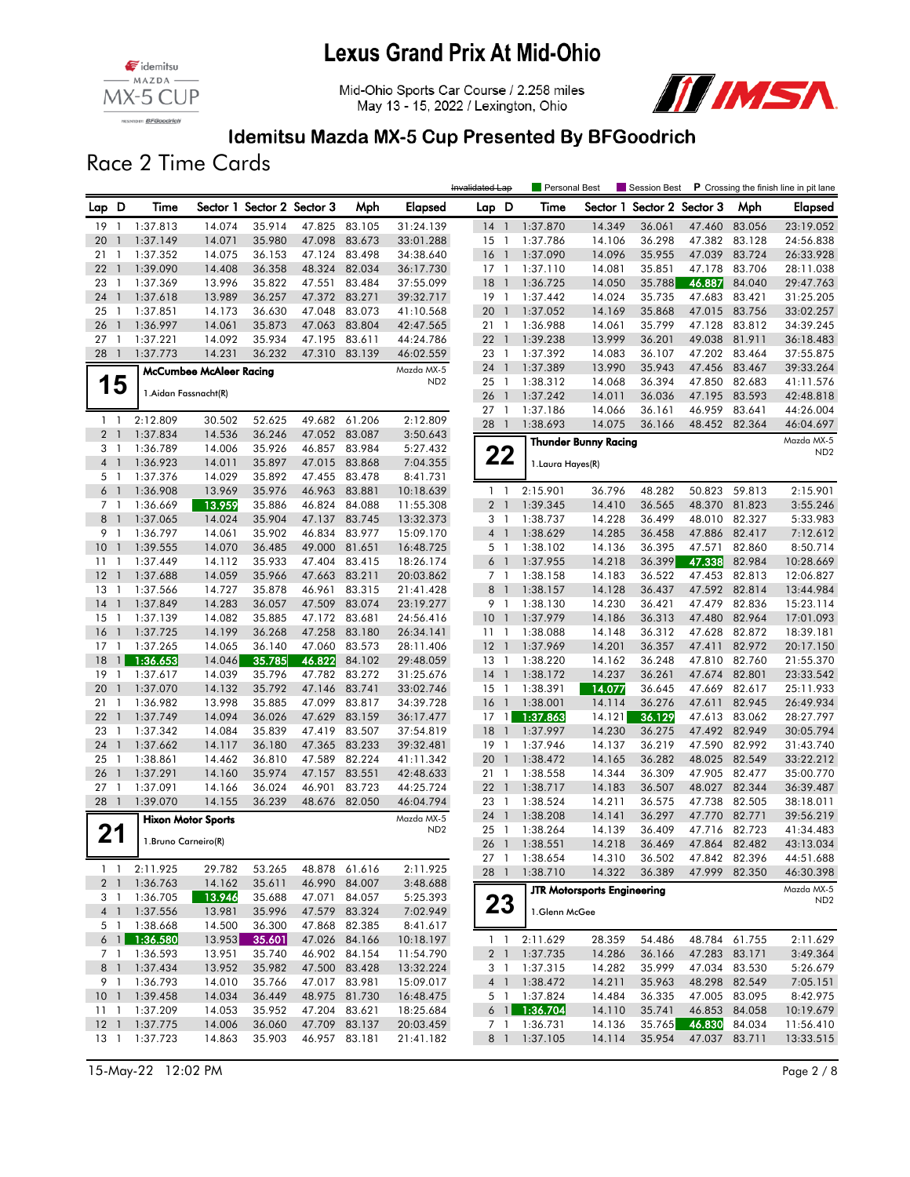





#### Idemitsu Mazda MX-5 Cup Presented By BFGoodrich

Race 2 Time Cards

|                       |                |                       |                                |                            |                  |                  |                      | Invalidated Lap |                | Personal Best     |                                    | Session Best               |               |               | P Crossing the finish line in pit lane |
|-----------------------|----------------|-----------------------|--------------------------------|----------------------------|------------------|------------------|----------------------|-----------------|----------------|-------------------|------------------------------------|----------------------------|---------------|---------------|----------------------------------------|
| Lap D                 |                | Time                  |                                | Sector 1 Sector 2 Sector 3 |                  | Mph              | Elapsed              | Lap D           |                | Time              |                                    | Sector 1 Sector 2 Sector 3 |               | Mph           | Elapsed                                |
| 19                    | $\overline{1}$ | 1:37.813              | 14.074                         | 35.914                     | 47.825           | 83.105           | 31:24.139            | $14-1$          |                | 1:37.870          | 14.349                             | 36.061                     | 47.460        | 83.056        | 23:19.052                              |
| 20                    | $\mathbf{1}$   | 1:37.149              | 14.071                         | 35.980                     | 47.098           | 83.673           | 33:01.288            | $15-1$          |                | 1:37.786          | 14.106                             | 36.298                     | 47.382        | 83.128        | 24:56.838                              |
| 21                    | $\overline{1}$ | 1:37.352              | 14.075                         | 36.153                     | 47.124           | 83.498           | 34:38.640            | $16-1$          |                | 1:37.090          | 14.096                             | 35.955                     | 47.039        | 83.724        | 26:33.928                              |
| 22                    | $\overline{1}$ | 1:39.090              | 14.408                         | 36.358                     |                  | 48.324 82.034    | 36:17.730            | $17-1$          |                | 1:37.110          | 14.081                             | 35.851                     | 47.178        | 83.706        | 28:11.038                              |
| 23 1                  |                | 1:37.369              | 13.996                         | 35.822                     |                  | 47.551 83.484    | 37:55.099            | 18              | $\overline{1}$ | 1:36.725          | 14.050                             | 35.788                     | 46.887        | 84.040        | 29:47.763                              |
| 24                    | $\overline{1}$ | 1:37.618              | 13.989                         | 36.257                     | 47.372           | 83.271           | 39:32.717            | 19 1            |                | 1:37.442          | 14.024                             | 35.735                     | 47.683        | 83.421        | 31:25.205                              |
| 25                    | -1             | 1:37.851              | 14.173                         | 36.630                     |                  | 47.048 83.073    | 41:10.568            | 20              | $\mathbf{1}$   | 1:37.052          | 14.169                             | 35.868                     | 47.015        | 83.756        | 33:02.257                              |
| 26                    | $\mathbf{1}$   | 1:36.997              | 14.061                         | 35.873                     | 47.063           | 83.804           | 42:47.565            | 21              | -1             | 1:36.988          | 14.061                             | 35.799                     | 47.128        | 83.812        | 34:39.245                              |
| 27                    | -1             | 1:37.221              | 14.092                         | 35.934                     | 47.195           | 83.611           | 44:24.786            | $22 \quad 1$    |                | 1:39.238          | 13.999                             | 36.201                     | 49.038        | 81.911        | 36:18.483                              |
| 28 1                  |                | 1:37.773              | 14.231                         | 36.232                     |                  | 47.310 83.139    | 46:02.559            | 23 1            |                | 1:37.392          | 14.083                             | 36.107                     | 47.202        | 83.464        | 37:55.875                              |
|                       |                |                       | <b>McCumbee McAleer Racing</b> |                            |                  |                  | Mazda MX-5           | 24 1            |                | 1:37.389          | 13.990                             | 35.943                     | 47.456        | 83.467        | 39:33.264                              |
|                       | 15             |                       |                                |                            |                  |                  | ND <sub>2</sub>      | 25 <sub>1</sub> |                | 1:38.312          | 14.068                             | 36.394                     | 47.850        | 82.683        | 41:11.576                              |
|                       |                | 1. Aidan Fassnacht(R) |                                |                            |                  |                  |                      | 26              | $\overline{1}$ | 1:37.242          | 14.011                             | 36.036                     | 47.195        | 83.593        | 42:48.818                              |
|                       |                |                       |                                |                            |                  |                  |                      | 27              | $\overline{1}$ | 1:37.186          | 14.066                             | 36.161                     | 46.959        | 83.641        | 44:26.004                              |
| $1\quad$              |                | 2:12.809              | 30.502                         | 52.625                     | 49.682           | 61.206           | 2:12.809             | 28 1            |                | 1:38.693          | 14.075                             | 36.166                     |               | 48.452 82.364 | 46:04.697                              |
| 2 <sub>1</sub><br>3 1 |                | 1:37.834              | 14.536                         | 36.246                     | 47.052           | 83.087<br>83.984 | 3:50.643             |                 |                |                   | Thunder Bunny Racing               |                            |               |               | Mazda MX-5                             |
| 4 <sup>1</sup>        |                | 1:36.789<br>1:36.923  | 14.006<br>14.011               | 35.926<br>35.897           | 46.857<br>47.015 | 83.868           | 5:27.432<br>7:04.355 |                 | 22             |                   |                                    |                            |               |               | ND <sub>2</sub>                        |
| 5 <sub>1</sub>        |                | 1:37.376              | 14.029                         | 35.892                     | 47.455           | 83.478           | 8:41.731             |                 |                | 1. Laura Hayes(R) |                                    |                            |               |               |                                        |
| $6-1$                 |                | 1:36.908              | 13.969                         | 35.976                     |                  | 46.963 83.881    | 10:18.639            | $1\quad$        |                | 2:15.901          | 36.796                             | 48.282                     | 50.823        | 59.813        | 2:15.901                               |
| 7 <sub>1</sub>        |                | 1:36.669              | 13.959                         | 35.886                     | 46.824           | 84.088           | 11:55.308            | 2 <sub>1</sub>  |                | 1:39.345          | 14.410                             | 36.565                     | 48.370        | 81.823        | 3:55.246                               |
| 8                     | $\overline{1}$ | 1:37.065              | 14.024                         | 35.904                     | 47.137           | 83.745           | 13:32.373            | 3 <sub>1</sub>  |                | 1:38.737          | 14.228                             | 36.499                     | 48.010        | 82.327        | 5:33.983                               |
| 9 1                   |                | 1:36.797              | 14.061                         | 35.902                     |                  | 46.834 83.977    | 15:09.170            | 4 <sup>1</sup>  |                | 1:38.629          | 14.285                             | 36.458                     | 47.886        | 82.417        | 7:12.612                               |
| 10                    | $\overline{1}$ | 1:39.555              | 14.070                         | 36.485                     | 49.000           | 81.651           | 16:48.725            | 5 <sub>1</sub>  |                | 1:38.102          | 14.136                             | 36.395                     | 47.571        | 82.860        | 8:50.714                               |
| 11                    | $\mathbf{1}$   | 1:37.449              | 14.112                         | 35.933                     | 47.404           | 83.415           | 18:26.174            | 6 <sup>1</sup>  |                | 1:37.955          | 14.218                             | 36.399                     | 47.338        | 82.984        | 10:28.669                              |
| 12                    | $\overline{1}$ | 1:37.688              | 14.059                         | 35.966                     |                  | 47.663 83.211    | 20:03.862            | 7 <sub>1</sub>  |                | 1:38.158          | 14.183                             | 36.522                     | 47.453        | 82.813        | 12:06.827                              |
| 13                    | $\overline{1}$ | 1:37.566              | 14.727                         | 35.878                     | 46.961           | 83.315           | 21:41.428            | 8               | $\overline{1}$ | 1:38.157          | 14.128                             | 36.437                     | 47.592        | 82.814        | 13:44.984                              |
| 14                    | $\overline{1}$ | 1:37.849              | 14.283                         | 36.057                     | 47.509           | 83.074           | 23:19.277            | 9 1             |                | 1:38.130          | 14.230                             | 36.421                     | 47.479        | 82.836        | 15:23.114                              |
| 15                    | $\overline{1}$ | 1:37.139              | 14.082                         | 35.885                     |                  | 47.172 83.681    | 24:56.416            | $10-1$          |                | 1:37.979          | 14.186                             | 36.313                     | 47.480        | 82.964        | 17:01.093                              |
| 16                    | $\mathbf{1}$   | 1:37.725              | 14.199                         | 36.268                     | 47.258           | 83.180           | 26:34.141            | $11-1$          |                | 1:38.088          | 14.148                             | 36.312                     | 47.628        | 82.872        | 18:39.181                              |
| 17                    | $\mathbf{1}$   | 1:37.265              | 14.065                         | 36.140                     | 47.060           | 83.573           | 28:11.406            | $12-1$          |                | 1:37.969          | 14.201                             | 36.357                     | 47.411        | 82.972        | 20:17.150                              |
| 18                    | $\mathbf{1}$   | 1:36.653              | 14.046                         | 35.785                     | 46.822           | 84.102           | 29:48.059            | 13              | $\overline{1}$ | 1:38.220          | 14.162                             | 36.248                     | 47.810        | 82.760        | 21:55.370                              |
| 19                    | $\overline{1}$ | 1:37.617              | 14.039                         | 35.796                     | 47.782           | 83.272           | 31:25.676            | $14-1$          |                | 1:38.172          | 14.237                             | 36.261                     | 47.674        | 82.801        | 23:33.542                              |
| 20                    | $\overline{1}$ | 1:37.070              | 14.132                         | 35.792                     | 47.146           | 83.741           | 33:02.746            | $15-1$          |                | 1:38.391          | 14.077                             | 36.645                     | 47.669        | 82.617        | 25:11.933                              |
| 21                    | $\overline{1}$ | 1:36.982              | 13.998                         | 35.885                     | 47.099           | 83.817           | 34:39.728            | $16-1$          |                | 1:38.001          | 14.114                             | 36.276                     | 47.611        | 82.945        | 26:49.934                              |
| 22                    | $\mathbf{1}$   | 1:37.749              | 14.094                         | 36.026                     | 47.629           | 83.159           | 36:17.477            | 17              | $\mathbf{1}$   | 1:37.863          | 14.121                             | 36.129                     | 47.613        | 83.062        | 28:27.797                              |
| 23                    | -1             | 1:37.342              | 14.084                         | 35.839                     | 47.419           | 83.507           | 37:54.819            | 18              | $\mathbf{1}$   | 1:37.997          | 14.230                             | 36.275                     | 47.492        | 82.949        | 30:05.794                              |
| 24                    | $\overline{1}$ | 1:37.662              | 14.117                         | 36.180                     |                  | 47.365 83.233    | 39:32.481            | $19-1$          |                | 1:37.946          | 14.137                             | 36.219                     | 47.590        | 82.992        | 31:43.740                              |
| 25                    | $\overline{1}$ | 1:38.861              | 14.462                         | 36.810                     | 47.589           | 82.224           | 41:11.342            | 20              | $\overline{1}$ | 1:38.472          | 14.165                             | 36.282                     | 48.025        | 82.549        | 33:22.212                              |
| 26                    | $\overline{1}$ | 1:37.291              | 14.160                         | 35.974                     | 47.157           | 83.551           | 42:48.633            | 211             |                | 1:38.558          | 14.344                             | 36.309                     | 47.905        | 82.477        | 35:00.770                              |
| 27                    | -1             | 1:37.091              | 14.166                         | 36.024                     | 46.901           | 83.723           | 44:25.724            | $22 \quad 1$    |                | 1:38.717          | 14.183                             | 36.507                     | 48.027        | 82.344        | 36:39.487                              |
| 28 1                  |                | 1:39.070              | 14.155                         | 36.239                     |                  | 48.676 82.050    | 46:04.794            | 23 1            |                | 1:38.524          | 14.211                             | 36.575                     | 47.738        | 82.505        | 38:18.011                              |
|                       |                |                       | <b>Hixon Motor Sports</b>      |                            |                  |                  | Mazda MX-5           | 24              | $\mathbf{1}$   | 1:38.208          | 14.141                             | 36.297                     | 47.770        | 82.771        | 39:56.219                              |
| 21                    |                | 1. Bruno Carneiro(R)  |                                |                            |                  |                  | ND <sub>2</sub>      | 25              | $\overline{1}$ | 1:38.264          | 14.139                             | 36.409                     | 47.716        | 82.723        | 41:34.483                              |
|                       |                |                       |                                |                            |                  |                  |                      | 26 1            |                | 1:38.551          | 14.218                             | 36.469                     |               | 47.864 82.482 | 43:13.034                              |
|                       | $1\quad1$      | 2:11.925              | 29.782                         | 53.265                     |                  | 48.878 61.616    | 2:11.925             | 27 1            |                | 1:38.654          | 14.310                             | 36.502                     |               | 47.842 82.396 | 44:51.688                              |
| 2 <sub>1</sub>        |                | 1:36.763              | 14.162                         | 35.611                     |                  | 46.990 84.007    | 3:48.688             | 28 1            |                | 1:38.710          | 14.322                             | 36.389                     |               | 47.999 82.350 | 46:30.398                              |
| 3 1                   |                | 1:36.705              | 13.946                         | 35.688                     |                  | 47.071 84.057    | 5:25.393             |                 |                |                   | <b>JTR Motorsports Engineering</b> |                            |               |               | Mazda MX-5                             |
| 4 <sup>1</sup>        |                | 1:37.556              | 13.981                         | 35.996                     |                  | 47.579 83.324    | 7:02.949             | 23              |                | 1.Glenn McGee     |                                    |                            |               |               | ND <sub>2</sub>                        |
|                       |                | 5 1 1:38.668          | 14.500                         | 36.300                     |                  | 47.868 82.385    | 8:41.617             |                 |                |                   |                                    |                            |               |               |                                        |
|                       | 6 <sub>1</sub> | 1:36.580              | 13.953                         | 35.601                     |                  | 47.026 84.166    | 10:18.197            |                 | $1\quad1$      | 2:11.629          | 28.359                             | 54.486                     |               | 48.784 61.755 | 2:11.629                               |
|                       | 7 <sup>1</sup> | 1:36.593              | 13.951                         | 35.740                     |                  | 46.902 84.154    | 11:54.790            | 2 <sub>1</sub>  |                | 1:37.735          | 14.286                             | 36.166                     |               | 47.283 83.171 | 3:49.364                               |
| 8 1                   |                | 1:37.434              | 13.952                         | 35.982                     |                  | 47.500 83.428    | 13:32.224            | 3 1             |                | 1:37.315          | 14.282                             | 35.999                     |               | 47.034 83.530 | 5:26.679                               |
| 9 1                   |                | 1:36.793              | 14.010                         | 35.766                     | 47.017 83.981    |                  | 15:09.017            | $4 \quad 1$     |                | 1:38.472          | 14.211                             | 35.963                     |               | 48.298 82.549 | 7:05.151                               |
| 10 <sub>1</sub>       |                | 1:39.458              | 14.034                         | 36.449                     |                  | 48.975 81.730    | 16:48.475            | 5 1             |                | 1:37.824          | 14.484                             | 36.335                     |               | 47.005 83.095 | 8:42.975                               |
| 1111                  |                | 1:37.209              | 14.053                         | 35.952                     | 47.204 83.621    |                  | 18:25.684            |                 | 6 <sup>1</sup> | 1:36.704          | 14.110                             | 35.741                     |               | 46.853 84.058 | 10:19.679                              |
| $12-1$                |                | 1:37.775              | 14.006                         | 36.060                     |                  | 47.709 83.137    | 20:03.459            | 7 1             |                | 1:36.731          | 14.136                             | 35.765                     | 46.830        | 84.034        | 11:56.410                              |
| $13-1$                |                | 1:37.723              | 14.863                         | 35.903                     | 46.957 83.181    |                  | 21:41.182            | 8 1             |                | 1:37.105          | 14.114                             | 35.954                     | 47.037 83.711 |               | 13:33.515                              |

15-May-22 12:02 PM Page 2 / 8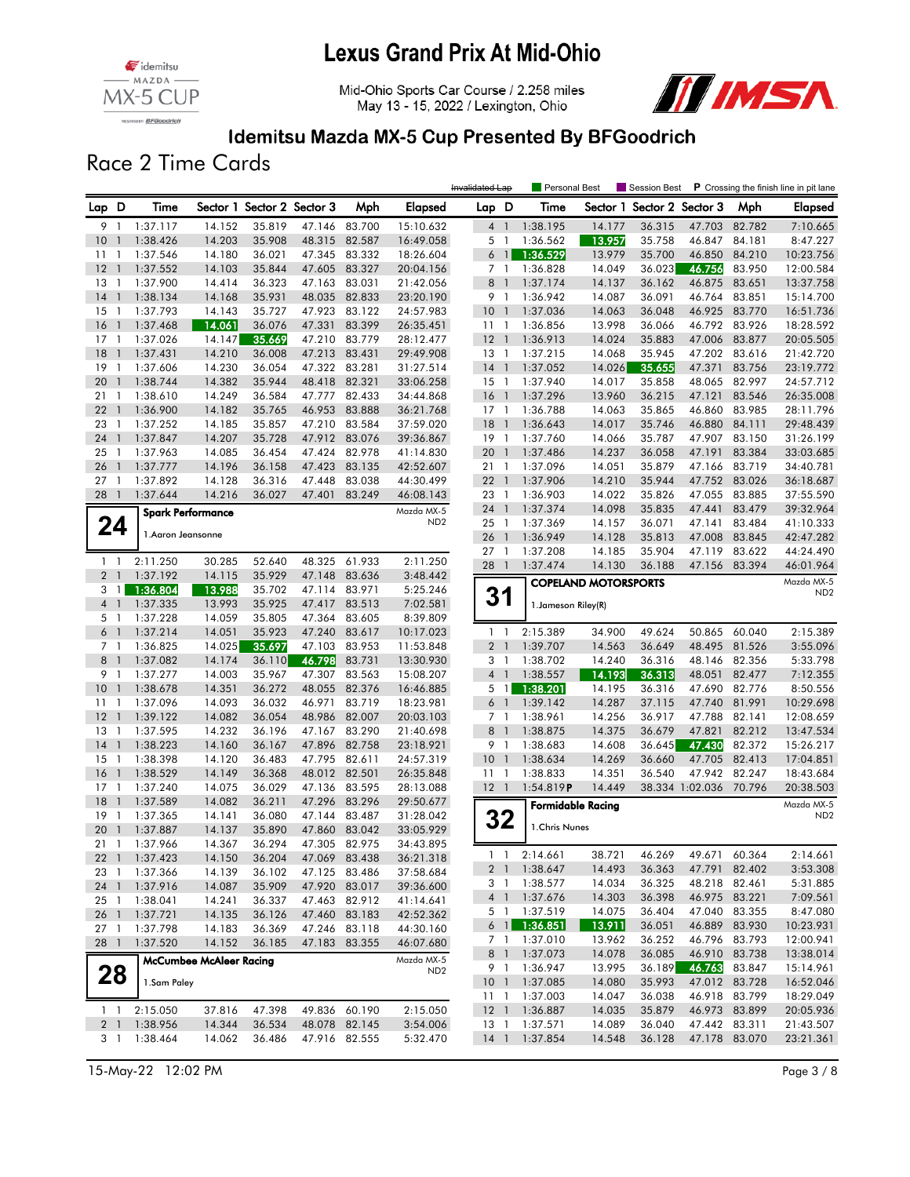





### Idemitsu Mazda MX-5 Cup Presented By BFGoodrich

Race 2 Time Cards

|                 |                |                                |                  |                            |                         |                  |                        | Invalidated Lap         |                | Personal Best              |                             | Session Best               |                  |                                | P Crossing the finish line in pit lane |
|-----------------|----------------|--------------------------------|------------------|----------------------------|-------------------------|------------------|------------------------|-------------------------|----------------|----------------------------|-----------------------------|----------------------------|------------------|--------------------------------|----------------------------------------|
| Lap D           |                | Time                           |                  | Sector 1 Sector 2 Sector 3 |                         | Mph              | Elapsed                | Lap D                   |                | Time                       |                             | Sector 1 Sector 2 Sector 3 |                  | Mph                            | Elapsed                                |
| 9               | $\overline{1}$ | 1:37.117                       | 14.152           | 35.819                     | 47.146                  | 83.700           | 15:10.632              | $4-1$                   |                | 1:38.195                   | 14.177                      | 36.315                     | 47.703           | 82.782                         | 7:10.665                               |
| 10              | $\mathbf{1}$   | 1:38.426                       | 14.203           | 35.908                     | 48.315                  | 82.587           | 16:49.058              | 5 <sub>1</sub>          |                | 1:36.562                   | 13.957                      | 35.758                     | 46.847           | 84.181                         | 8:47.227                               |
| 11              | $\mathbf{1}$   | 1:37.546                       | 14.180           | 36.021                     | 47.345                  | 83.332           | 18:26.604              | $6-1$                   |                | 1:36.529                   | 13.979                      | 35.700                     | 46.850           | 84.210                         | 10:23.756                              |
| 12              | $\overline{1}$ | 1:37.552                       | 14.103           | 35.844                     | 47.605                  | 83.327           | 20:04.156              | 7 <sup>1</sup>          |                | 1:36.828                   | 14.049                      | 36.023                     | 46.756           | 83.950                         | 12:00.584                              |
| $13-1$          |                | 1:37.900                       | 14.414           | 36.323                     | 47.163                  | 83.031           | 21:42.056              | 8                       | $\overline{1}$ | 1:37.174                   | 14.137                      | 36.162                     | 46.875           | 83.651                         | 13:37.758                              |
| 14              | $\overline{1}$ | 1:38.134                       | 14.168           | 35.931                     | 48.035                  | 82.833           | 23:20.190              | 9 1                     |                | 1:36.942                   | 14.087                      | 36.091                     | 46.764           | 83.851                         | 15:14.700                              |
| 15              | -1             | 1:37.793                       | 14.143           | 35.727                     | 47.923                  | 83.122           | 24:57.983              | 10 <sub>1</sub>         |                | 1:37.036                   | 14.063                      | 36.048                     | 46.925           | 83.770                         | 16:51.736                              |
| 16              | $\mathbf{1}$   | 1:37.468                       | 14.061           | 36.076                     | 47.331                  | 83.399           | 26:35.451              | $11-1$                  |                | 1:36.856                   | 13.998                      | 36.066                     | 46.792           | 83.926                         | 18:28.592                              |
| 17              | -1             | 1:37.026                       | 14.147           | 35.669                     | 47.210                  | 83.779           | 28:12.477              | $12-1$                  |                | 1:36.913                   | 14.024                      | 35.883                     | 47.006           | 83.877                         | 20:05.505                              |
| 18              | $\overline{1}$ | 1:37.431                       | 14.210           | 36.008                     | 47.213 83.431           |                  | 29:49.908              | $13-1$                  |                | 1:37.215                   | 14.068                      | 35.945                     | 47.202           | 83.616                         | 21:42.720                              |
| 19              | $\overline{1}$ | 1:37.606                       | 14.230           | 36.054                     | 47.322                  | 83.281           | 31:27.514              | $14-1$                  |                | 1:37.052                   | 14.026                      | 35.655                     | 47.371           | 83.756                         | 23:19.772                              |
| 20              | $\overline{1}$ | 1:38.744                       | 14.382           | 35.944                     | 48.418                  | 82.321           | 33:06.258              | $15-1$                  |                | 1:37.940                   | 14.017                      | 35.858                     | 48.065           | 82.997                         | 24:57.712                              |
| 21              | -1             | 1:38.610                       | 14.249           | 36.584                     | 47.777                  | 82.433           | 34:44.868              | $16-1$                  |                | 1:37.296                   | 13.960                      | 36.215                     | 47.121           | 83.546                         | 26:35.008                              |
| 22              | $\overline{1}$ | 1:36.900                       | 14.182           | 35.765                     | 46.953                  | 83.888           | 36:21.768              | $17-1$                  |                | 1:36.788                   | 14.063                      | 35.865                     | 46.860           | 83.985                         | 28:11.796                              |
| 23              | $\overline{1}$ | 1:37.252                       | 14.185           | 35.857                     | 47.210                  | 83.584           | 37:59.020              | $18-1$                  |                | 1:36.643                   | 14.017                      | 35.746                     | 46.880           | 84.111                         | 29:48.439                              |
| 24<br>$25-1$    | $\overline{1}$ | 1:37.847                       | 14.207           | 35.728<br>36.454           | 47.912 83.076<br>47.424 |                  | 39:36.867              | $19-1$                  | $\overline{1}$ | 1:37.760<br>1:37.486       | 14.066                      | 35.787                     | 47.907<br>47.191 | 83.150<br>83.384               | 31:26.199                              |
| 26              | $\overline{1}$ | 1:37.963<br>1:37.777           | 14.085<br>14.196 | 36.158                     | 47.423                  | 82.978<br>83.135 | 41:14.830<br>42:52.607 | 20<br>211               |                | 1:37.096                   | 14.237<br>14.051            | 36.058<br>35.879           | 47.166           | 83.719                         | 33:03.685<br>34:40.781                 |
| 27 <sub>1</sub> |                | 1:37.892                       | 14.128           | 36.316                     | 47.448                  | 83.038           | 44:30.499              | $22$ 1                  |                | 1:37.906                   | 14.210                      | 35.944                     | 47.752           | 83.026                         | 36:18.687                              |
| 28 1            |                | 1:37.644                       | 14.216           | 36.027                     | 47.401                  | 83.249           | 46:08.143              | 23 1                    |                | 1:36.903                   | 14.022                      | 35.826                     | 47.055           | 83.885                         | 37:55.590                              |
|                 |                |                                |                  |                            |                         |                  | Mazda MX-5             | 24 1                    |                | 1:37.374                   | 14.098                      | 35.835                     | 47.441           | 83.479                         | 39:32.964                              |
|                 |                | <b>Spark Performance</b>       |                  |                            |                         |                  | ND <sub>2</sub>        | $25-1$                  |                | 1:37.369                   | 14.157                      | 36.071                     | 47.141           | 83.484                         | 41:10.333                              |
|                 | 24             | 1.Aaron Jeansonne              |                  |                            |                         |                  |                        | 26 1                    |                | 1:36.949                   | 14.128                      | 35.813                     | 47.008           | 83.845                         | 42:47.282                              |
|                 |                |                                |                  |                            |                         |                  |                        | 27 <sub>1</sub>         |                | 1:37.208                   | 14.185                      | 35.904                     | 47.119           | 83.622                         | 44:24.490                              |
| $1\quad$        |                | 2:11.250                       | 30.285           | 52.640                     | 48.325                  | 61.933           | 2:11.250               | 28 1                    |                | 1:37.474                   | 14.130                      | 36.188                     | 47.156           | 83.394                         | 46:01.964                              |
| 2 <sub>1</sub>  |                | 1:37.192                       | 14.115           | 35.929                     | 47.148                  | 83.636           | 3:48.442               |                         |                |                            | <b>COPELAND MOTORSPORTS</b> |                            |                  |                                | Mazda MX-5                             |
| 3               | $\overline{1}$ | 1:36.804                       | 13.988           | 35.702                     | 47.114                  | 83.971           | 5:25.246               | 31                      |                |                            |                             |                            |                  |                                | ND <sub>2</sub>                        |
| 4 <sup>1</sup>  |                | 1:37.335                       | 13.993           | 35.925                     | 47.417 83.513           |                  | 7:02.581               |                         |                | 1. Jameson Riley(R)        |                             |                            |                  |                                |                                        |
| 5 <sub>1</sub>  |                | 1:37.228                       | 14.059           | 35.805                     | 47.364                  | 83.605           | 8:39.809               |                         |                |                            |                             |                            |                  |                                |                                        |
| $6-1$           |                | 1:37.214                       | 14.051           | 35.923                     | 47.240                  | 83.617           | 10:17.023              | $1\quad$                |                | 2:15.389                   | 34.900                      | 49.624                     | 50.865           | 60.040                         | 2:15.389                               |
| 7 <sub>1</sub>  |                | 1:36.825                       | 14.025           | 35.697                     | 47.103                  | 83.953           | 11:53.848              | 2 <sub>1</sub>          |                | 1:39.707                   | 14.563                      | 36.649                     | 48.495           | 81.526                         | 3:55.096                               |
| 8 <sup>1</sup>  |                | 1:37.082                       | 14.174           | 36.110                     | 46.798                  | 83.731           | 13:30.930              | 3 <sup>1</sup>          |                | 1:38.702                   | 14.240                      | 36.316                     | 48.146           | 82.356                         | 5:33.798                               |
| 9 1<br>10       | $\overline{1}$ | 1:37.277<br>1:38.678           | 14.003<br>14.351 | 35.967<br>36.272           | 47.307<br>48.055        | 83.563<br>82.376 | 15:08.207<br>16:46.885 | $4-1$<br>5 <sub>1</sub> |                | 1:38.557<br>1:38.201       | 14.193<br>14.195            | 36.313<br>36.316           | 48.051<br>47.690 | 82.477<br>82.776               | 7:12.355<br>8:50.556                   |
| $11-1$          |                | 1:37.096                       | 14.093           | 36.032                     | 46.971                  | 83.719           | 18:23.981              | $6-1$                   |                | 1:39.142                   | 14.287                      | 37.115                     | 47.740           | 81.991                         | 10:29.698                              |
| 12              | $\mathbf{1}$   | 1:39.122                       | 14.082           | 36.054                     | 48.986                  | 82.007           | 20:03.103              | 7 1                     |                | 1:38.961                   | 14.256                      | 36.917                     | 47.788           | 82.141                         | 12:08.659                              |
| 13              | -1             | 1:37.595                       | 14.232           | 36.196                     | 47.167                  | 83.290           | 21:40.698              | 8 <sup>1</sup>          |                | 1:38.875                   | 14.375                      | 36.679                     | 47.821           | 82.212                         | 13:47.534                              |
| 14              | $\overline{1}$ | 1:38.223                       | 14.160           | 36.167                     | 47.896 82.758           |                  | 23:18.921              | 9 1                     |                | 1:38.683                   | 14.608                      | 36.645                     | 47.430           | 82.372                         | 15:26.217                              |
| 15              | $\overline{1}$ | 1:38.398                       | 14.120           | 36.483                     | 47.795                  | 82.611           | 24:57.319              | 10 <sub>1</sub>         |                | 1:38.634                   | 14.269                      | 36.660                     | 47.705           | 82.413                         | 17:04.851                              |
| 16              | $\overline{1}$ | 1:38.529                       | 14.149           | 36.368                     | 48.012 82.501           |                  | 26:35.848              | $11-1$                  |                | 1:38.833                   | 14.351                      | 36.540                     | 47.942           | 82.247                         | 18:43.684                              |
| 17              | $\overline{1}$ | 1:37.240                       | 14.075           | 36.029                     | 47.136                  | 83.595           | 28:13.088              | $12-1$                  |                | 1:54.819P                  | 14.449                      |                            | 38.334 1:02.036  | 70.796                         | 20:38.503                              |
| 18              | $\overline{1}$ | 1:37.589                       | 14.082           | 36.211                     | 47.296                  | 83.296           | 29:50.677              |                         |                |                            | <b>Formidable Racing</b>    |                            |                  |                                | Mazda MX-5                             |
| 19              | $\overline{1}$ | 1:37.365                       | 14.141           | 36.080                     | 47.144                  | 83.487           | 31:28.042              | 32                      |                |                            |                             |                            |                  |                                | ND <sub>2</sub>                        |
| 20              | $\mathbf{1}$   | 1:37.887                       | 14.137           | 35.890                     | 47.860                  | 83.042           | 33:05.929              |                         |                | 1.Chris Nunes              |                             |                            |                  |                                |                                        |
| $21 \quad 1$    |                | 1:37.966                       | 14.367           | 36.294                     | 47.305                  | 82.975           | 34:43.895              |                         |                |                            |                             |                            |                  |                                |                                        |
| 22 1            |                | 1:37.423                       | 14.150           | 36.204                     | 47.069 83.438           |                  | 36:21.318              |                         | $1 \quad 1$    | 2:14.661                   | 38.721                      | 46.269                     |                  | 49.671 60.364                  | 2:14.661                               |
| 23 1            |                | 1:37.366                       | 14.139           | 36.102                     |                         | 47.125 83.486    | 37:58.684              | 2 <sub>1</sub>          |                | 1:38.647                   | 14.493                      | 36.363                     |                  | 47.791 82.402                  | 3:53.308                               |
| 24 1            |                | 1:37.916                       | 14.087           | 35.909                     | 47.920 83.017           |                  | 39:36.600              | 3 1                     |                | 1:38.577                   | 14.034                      | 36.325                     |                  | 48.218 82.461                  | 5:31.885                               |
| $25 \quad 1$    |                | 1:38.041                       | 14.241           | 36.337                     |                         | 47.463 82.912    | 41:14.641              | 4 1                     |                | 1:37.676                   | 14.303                      | 36.398                     |                  | 46.975 83.221                  | 7:09.561                               |
| 26 1            |                | 1:37.721                       | 14.135           | 36.126                     | 47.460 83.183           |                  | 42:52.362              | 5 1                     |                | 1:37.519                   | 14.075                      | 36.404                     |                  | 47.040 83.355                  | 8:47.080                               |
| $27-1$          |                | 1:37.798                       | 14.183           | 36.369                     |                         | 47.246 83.118    | 44:30.160              |                         |                | $6$ 1 1:36.851<br>1:37.010 | 13.911<br>13.962            | 36.051<br>36.252           |                  | 46.889 83.930<br>46.796 83.793 | 10:23.931<br>12:00.941                 |
| 28 1            |                | 1:37.520                       | 14.152           | 36.185                     | 47.183 83.355           |                  | 46:07.680              | 7 1<br>8 1              |                | 1:37.073                   | 14.078                      | 36.085                     |                  | 46.910 83.738                  | 13:38.014                              |
|                 |                | <b>McCumbee McAleer Racing</b> |                  |                            |                         |                  | Mazda MX-5             | 9 1                     |                | 1:36.947                   | 13.995                      | 36.189                     | 46.763           | 83.847                         | 15:14.961                              |
| 28              |                | 1.Sam Paley                    |                  |                            |                         |                  | ND <sub>2</sub>        |                         |                | 10 1 1:37.085              | 14.080                      | 35.993                     |                  | 47.012 83.728                  | 16:52.046                              |
|                 |                |                                |                  |                            |                         |                  |                        | 11 <sub>1</sub>         |                | 1:37.003                   | 14.047                      | 36.038                     |                  | 46.918 83.799                  | 18:29.049                              |
| $1\quad$        |                | 2:15.050                       | 37.816           | 47.398                     | 49.836 60.190           |                  | 2:15.050               | $12-1$                  |                | 1:36.887                   | 14.035                      | 35.879                     |                  | 46.973 83.899                  | 20:05.936                              |
| 2 <sub>1</sub>  |                | 1:38.956                       | 14.344           | 36.534                     | 48.078 82.145           |                  | 3:54.006               | $13-1$                  |                | 1:37.571                   | 14.089                      | 36.040                     |                  | 47.442 83.311                  | 21:43.507                              |
| 3 1             |                | 1:38.464                       | 14.062           | 36.486                     |                         | 47.916 82.555    | 5:32.470               | $14-1$                  |                | 1:37.854                   | 14.548                      | 36.128                     |                  | 47.178 83.070                  | 23:21.361                              |

15-May-22 12:02 PM Page 3 / 8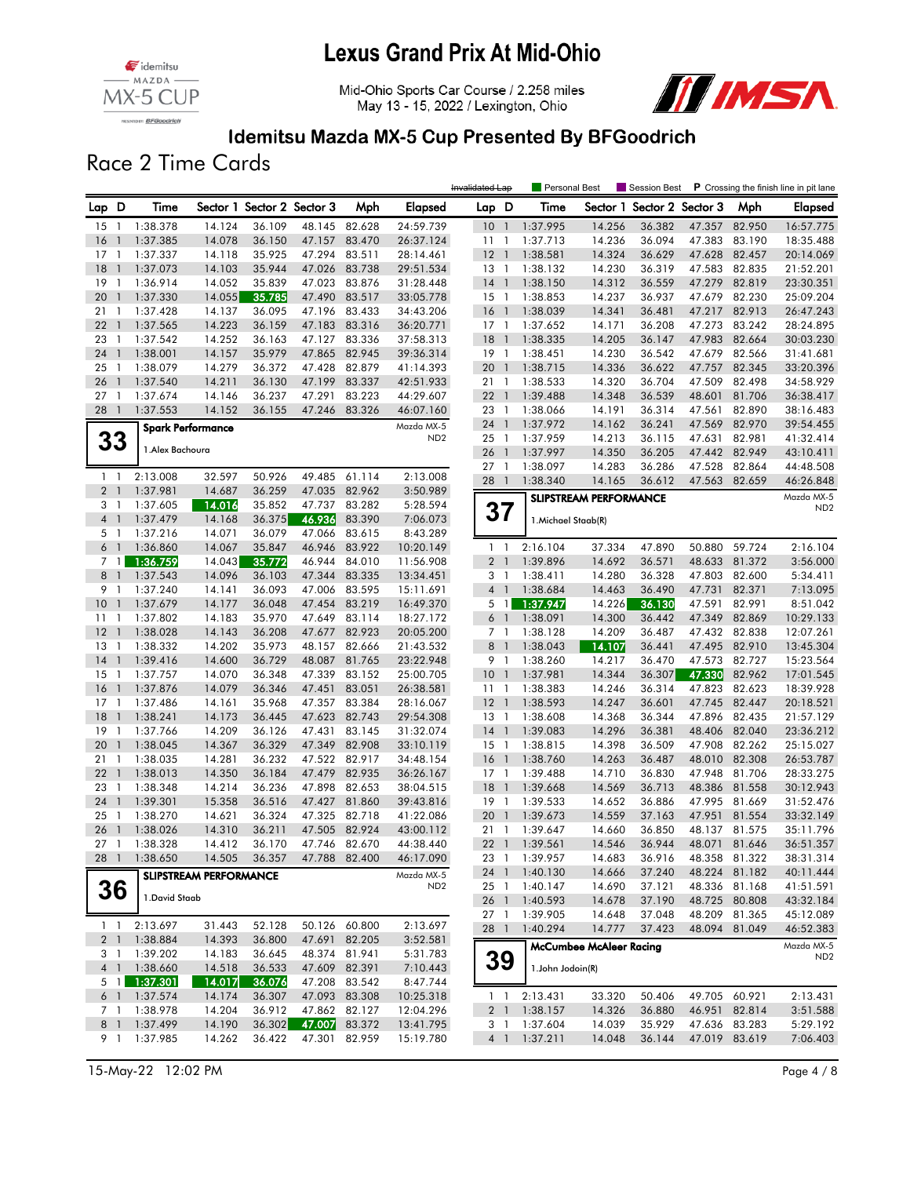





### Idemitsu Mazda MX-5 Cup Presented By BFGoodrich

Race 2 Time Cards

|                 |                          |                  |                               |                            |        |               |                               | Invalidated Lap                        |              | Personal Best        |                                | Session Best               |                  |                                | P Crossing the finish line in pit lane |
|-----------------|--------------------------|------------------|-------------------------------|----------------------------|--------|---------------|-------------------------------|----------------------------------------|--------------|----------------------|--------------------------------|----------------------------|------------------|--------------------------------|----------------------------------------|
| Lap D           |                          | Time             |                               | Sector 1 Sector 2 Sector 3 |        | Mph           | Elapsed                       | Lap D                                  |              | Time                 |                                | Sector 1 Sector 2 Sector 3 |                  | Mph                            | Elapsed                                |
| 15              | $\overline{1}$           | 1:38.378         | 14.124                        | 36.109                     | 48.145 | 82.628        | 24:59.739                     | 10 <sub>1</sub>                        |              | 1:37.995             | 14.256                         | 36.382                     | 47.357           | 82.950                         | 16:57.775                              |
| 16              | $\overline{1}$           | 1:37.385         | 14.078                        | 36.150                     | 47.157 | 83.470        | 26:37.124                     | 1111                                   |              | 1:37.713             | 14.236                         | 36.094                     | 47.383           | 83.190                         | 18:35.488                              |
| $17-1$          |                          | 1:37.337         | 14.118                        | 35.925                     | 47.294 | 83.511        | 28:14.461                     | $12-1$                                 |              | 1:38.581             | 14.324                         | 36.629                     | 47.628           | 82.457                         | 20:14.069                              |
| 18              | $\overline{1}$           | 1:37.073         | 14.103                        | 35.944                     | 47.026 | 83.738        | 29:51.534                     | 13 1                                   |              | 1:38.132             | 14.230                         | 36.319                     | 47.583           | 82.835                         | 21:52.201                              |
| 19              | $\mathbf{1}$             | 1:36.914         | 14.052                        | 35.839                     | 47.023 | 83.876        | 31:28.448                     | $14-1$                                 |              | 1:38.150             | 14.312                         | 36.559                     | 47.279           | 82.819                         | 23:30.351                              |
| 20              | $\mathbf{1}$             | 1:37.330         | 14.055                        | 35.785                     | 47.490 | 83.517        | 33:05.778                     | $15-1$                                 |              | 1:38.853             | 14.237                         | 36.937                     | 47.679           | 82.230                         | 25:09.204                              |
| 21              | $\mathbf{1}$             | 1:37.428         | 14.137                        | 36.095                     | 47.196 | 83.433        | 34:43.206                     | 16<br>$\overline{\phantom{a}}$         |              | 1:38.039             | 14.341                         | 36.481                     | 47.217           | 82.913                         | 26:47.243                              |
| 22              | $\overline{1}$           | 1:37.565         | 14.223                        | 36.159                     | 47.183 | 83.316        | 36:20.771                     | $17-1$                                 |              | 1:37.652             | 14.171                         | 36.208                     | 47.273           | 83.242                         | 28:24.895                              |
| 23              | $\overline{1}$           | 1:37.542         | 14.252                        | 36.163                     | 47.127 | 83.336        | 37:58.313                     | 18<br>$\overline{1}$                   |              | 1:38.335             | 14.205                         | 36.147                     | 47.983           | 82.664                         | 30:03.230                              |
| 24              | $\overline{1}$           | 1:38.001         | 14.157                        | 35.979                     | 47.865 | 82.945        | 39:36.314                     | 19 1                                   |              | 1:38.451             | 14.230                         | 36.542                     | 47.679           | 82.566                         | 31:41.681                              |
| 25              | $\overline{1}$           | 1:38.079         | 14.279                        | 36.372                     | 47.428 | 82.879        | 41:14.393                     | 20<br>$\overline{1}$                   |              | 1:38.715             | 14.336                         | 36.622                     | 47.757           | 82.345                         | 33:20.396                              |
| 26              | $\overline{1}$           | 1:37.540         | 14.211                        | 36.130                     | 47.199 | 83.337        | 42:51.933                     | 21                                     | $\mathbf{1}$ | 1:38.533             | 14.320                         | 36.704                     | 47.509           | 82.498                         | 34:58.929                              |
| 27              | $\overline{1}$           | 1:37.674         | 14.146                        | 36.237                     | 47.291 | 83.223        | 44:29.607                     | 22 1                                   |              | 1:39.488             | 14.348                         | 36.539                     | 48.601           | 81.706                         | 36:38.417                              |
| 28              | $\overline{\phantom{a}}$ | 1:37.553         | 14.152                        | 36.155                     | 47.246 | 83.326        | 46:07.160                     | 23<br>$\overline{1}$                   |              | 1:38.066             | 14.191                         | 36.314                     | 47.561           | 82.890                         | 38:16.483                              |
|                 |                          |                  | <b>Spark Performance</b>      |                            |        |               | Mazda MX-5<br>ND <sub>2</sub> | 24<br>$\overline{1}$<br>$\overline{1}$ |              | 1:37.972<br>1:37.959 | 14.162<br>14.213               | 36.241                     | 47.569           | 82.970<br>82.981               | 39:54.455                              |
| 33              |                          | 1. Alex Bachoura |                               |                            |        |               |                               | 25                                     | $\mathbf{1}$ |                      |                                | 36.115                     | 47.631<br>47.442 | 82.949                         | 41:32.414                              |
|                 |                          |                  |                               |                            |        |               |                               | 26<br>$27-1$                           |              | 1:37.997<br>1:38.097 | 14.350<br>14.283               | 36.205<br>36.286           | 47.528           | 82.864                         | 43:10.411<br>44:48.508                 |
| $1 \quad 1$     |                          | 2:13.008         | 32.597                        | 50.926                     |        | 49.485 61.114 | 2:13.008                      | 28<br>$\overline{1}$                   |              | 1:38.340             | 14.165                         | 36.612                     | 47.563           | 82.659                         | 46:26.848                              |
| 2 <sub>1</sub>  |                          | 1:37.981         | 14.687                        | 36.259                     | 47.035 | 82.962        | 3:50.989                      |                                        |              |                      |                                |                            |                  |                                |                                        |
| 3 1             |                          | 1:37.605         | 14.016                        | 35.852                     | 47.737 | 83.282        | 5:28.594                      |                                        |              |                      | <b>SLIPSTREAM PERFORMANCE</b>  |                            |                  |                                | Mazda MX-5<br>ND <sub>2</sub>          |
| $4-1$           |                          | 1:37.479         | 14.168                        | 36.375                     | 46.936 | 83.390        | 7:06.073                      | 37                                     |              | 1. Michael Staab(R)  |                                |                            |                  |                                |                                        |
| 5 <sub>1</sub>  |                          | 1:37.216         | 14.071                        | 36.079                     | 47.066 | 83.615        | 8:43.289                      |                                        |              |                      |                                |                            |                  |                                |                                        |
| $6-1$           |                          | 1:36.860         | 14.067                        | 35.847                     | 46.946 | 83.922        | 10:20.149                     | $1\quad$                               |              | 2:16.104             | 37.334                         | 47.890                     | 50.880           | 59.724                         | 2:16.104                               |
|                 | 7 <sup>1</sup>           | 1:36.759         | 14.043                        | 35.772                     | 46.944 | 84.010        | 11:56.908                     | 2 <sub>1</sub>                         |              | 1:39.896             | 14.692                         | 36.571                     | 48.633           | 81.372                         | 3:56.000                               |
| 8 <sup>1</sup>  |                          | 1:37.543         | 14.096                        | 36.103                     | 47.344 | 83.335        | 13:34.451                     | 3 <sub>1</sub>                         |              | 1:38.411             | 14.280                         | 36.328                     | 47.803           | 82.600                         | 5:34.411                               |
| 9 1             |                          | 1:37.240         | 14.141                        | 36.093                     |        | 47.006 83.595 | 15:11.691                     | 4 <sup>1</sup>                         |              | 1:38.684             | 14.463                         | 36.490                     | 47.731           | 82.371                         | 7:13.095                               |
| 10              | $\overline{1}$           | 1:37.679         | 14.177                        | 36.048                     | 47.454 | 83.219        | 16:49.370                     | $5 \mid$ 1                             |              | 1:37.947             | 14.226                         | 36.130                     | 47.591           | 82.991                         | 8:51.042                               |
| 11              | $\mathbf{1}$             | 1:37.802         | 14.183                        | 35.970                     | 47.649 | 83.114        | 18:27.172                     | 6 <sup>1</sup>                         |              | 1:38.091             | 14.300                         | 36.442                     | 47.349           | 82.869                         | 10:29.133                              |
| 12              | $\overline{1}$           | 1:38.028         | 14.143                        | 36.208                     | 47.677 | 82.923        | 20:05.200                     | 7 <sub>1</sub>                         |              | 1:38.128             | 14.209                         | 36.487                     | 47.432           | 82.838                         | 12:07.261                              |
| 13              | $\overline{1}$           | 1:38.332         | 14.202                        | 35.973                     | 48.157 | 82.666        | 21:43.532                     | 8<br>$\overline{1}$                    |              | 1:38.043             | 14.107                         | 36.441                     | 47.495           | 82.910                         | 13:45.304                              |
| 14              | $\overline{1}$           | 1:39.416         | 14.600                        | 36.729                     | 48.087 | 81.765        | 23:22.948                     | 9 1                                    |              | 1:38.260             | 14.217                         | 36.470                     | 47.573           | 82.727                         | 15:23.564                              |
| 15              | -1                       | 1:37.757         | 14.070                        | 36.348                     | 47.339 | 83.152        | 25:00.705                     | $10-1$                                 |              | 1:37.981             | 14.344                         | 36.307                     | 47.330           | 82.962                         | 17:01.545                              |
| 16              | $\overline{1}$           | 1:37.876         | 14.079                        | 36.346                     | 47.451 | 83.051        | 26:38.581                     | $11-1$                                 |              | 1:38.383             | 14.246                         | 36.314                     | 47.823           | 82.623                         | 18:39.928                              |
| 17              | $\mathbf{1}$             | 1:37.486         | 14.161                        | 35.968                     | 47.357 | 83.384        | 28:16.067                     | $12-1$                                 |              | 1:38.593             | 14.247                         | 36.601                     | 47.745           | 82.447                         | 20:18.521                              |
| 18              | $\mathbf{1}$             | 1:38.241         | 14.173                        | 36.445                     | 47.623 | 82.743        | 29:54.308                     | $13-1$                                 |              | 1:38.608             | 14.368                         | 36.344                     | 47.896           | 82.435                         | 21:57.129                              |
| 19              | $\overline{1}$           | 1:37.766         | 14.209                        | 36.126                     | 47.431 | 83.145        | 31:32.074                     | $14$ 1                                 |              | 1:39.083             | 14.296                         | 36.381                     | 48.406           | 82.040                         | 23:36.212                              |
| 20              | $\overline{1}$           | 1:38.045         | 14.367                        | 36.329                     | 47.349 | 82.908        | 33:10.119                     | $15-1$                                 |              | 1:38.815             | 14.398                         | 36.509                     | 47.908           | 82.262                         | 25:15.027                              |
| 21              | $\overline{1}$           | 1:38.035         | 14.281                        | 36.232                     | 47.522 | 82.917        | 34:48.154                     | 16<br>$\overline{1}$                   |              | 1:38.760             | 14.263                         | 36.487                     | 48.010           | 82.308                         | 26:53.787                              |
| 22              | $\overline{1}$           | 1:38.013         | 14.350                        | 36.184                     | 47.479 | 82.935        | 36:26.167                     | $17-1$                                 |              | 1:39.488             | 14.710                         | 36.830                     | 47.948           | 81.706                         | 28:33.275                              |
| 23              | $\mathbf{1}$             | 1:38.348         | 14.214                        | 36.236                     | 47.898 | 82.653        | 38:04.515                     | $18-1$                                 |              | 1:39.668             | 14.569                         | 36.713                     | 48.386           | 81.558                         | 30:12.943                              |
| 24              | $\overline{1}$           | 1:39.301         | 15.358                        | 36.516                     | 47.427 | 81.860        | 39:43.816                     | 19<br>$\overline{1}$                   |              | 1:39.533             | 14.652                         | 36.886                     | 47.995           | 81.669                         | 31:52.476                              |
| 25              | $\overline{1}$           | 1:38.270         | 14.621                        | 36.324                     |        | 47.325 82.718 | 41:22.086                     | 20<br>$\overline{1}$                   |              | 1:39.673             | 14.559                         | 37.163                     | 47.951           | 81.554                         | 33:32.149                              |
| 26              | $\overline{\phantom{a}}$ | 1:38.026         | 14.310                        | 36.211                     | 47.505 | 82.924        | 43:00.112                     | $21 \quad 1$                           |              | 1:39.647             | 14.660                         | 36.850                     | 48.137           | 81.575                         | 35:11.796                              |
| 27 <sub>1</sub> |                          | 1:38.328         | 14.412                        | 36.170                     | 47.746 | 82.670        | 44:38.440                     | $22 \quad 1$                           |              | 1:39.561             | 14.546                         | 36.944                     | 48.071           | 81.646                         | 36:51.357                              |
| 28 1            |                          | 1:38.650         | 14.505                        | 36.357                     |        | 47.788 82.400 | 46:17.090                     |                                        |              | 23 1 1:39.957        | 14.683                         | 36.916                     |                  | 48.358 81.322                  | 38:31.314                              |
|                 |                          |                  | <b>SLIPSTREAM PERFORMANCE</b> |                            |        |               | Mazda MX-5                    | 24 1                                   |              | 1:40.130             | 14.666                         | 37.240                     | 48.224 81.182    |                                | 40:11.444                              |
|                 | 36                       | 1. David Staab   |                               |                            |        |               | ND <sub>2</sub>               | 25 1                                   |              | 1:40.147             | 14.690                         | 37.121                     |                  | 48.336 81.168                  | 41:51.591                              |
|                 |                          |                  |                               |                            |        |               |                               | 26 1<br>27 1                           |              | 1:40.593<br>1:39.905 | 14.678<br>14.648               | 37.190<br>37.048           |                  | 48.725 80.808<br>48.209 81.365 | 43:32.184                              |
| $1\quad1$       |                          | 2:13.697         | 31.443                        | 52.128                     |        | 50.126 60.800 | 2:13.697                      |                                        |              |                      |                                |                            |                  | 48.094 81.049                  | 45:12.089<br>46:52.383                 |
|                 | 2 <sub>1</sub>           | 1:38.884         | 14.393                        | 36.800                     |        | 47.691 82.205 | 3:52.581                      | 28 1                                   |              | 1:40.294             | 14.777                         | 37.423                     |                  |                                |                                        |
| 3 1             |                          | 1:39.202         | 14.183                        | 36.645                     |        | 48.374 81.941 | 5:31.783                      |                                        |              |                      | <b>McCumbee McAleer Racing</b> |                            |                  |                                | Mazda MX-5<br>ND <sub>2</sub>          |
|                 |                          | 4 1 1:38.660     | 14.518                        | 36.533                     |        | 47.609 82.391 | 7:10.443                      | 39                                     |              | 1. John Jodoin(R)    |                                |                            |                  |                                |                                        |
|                 | $5 \quad 1$              | 1:37.301         | 14.017                        | 36.076                     |        | 47.208 83.542 | 8:47.744                      |                                        |              |                      |                                |                            |                  |                                |                                        |
|                 |                          | 6 1 1:37.574     | 14.174                        | 36.307                     |        | 47.093 83.308 | 10:25.318                     | $1\quad1$                              |              | 2:13.431             | 33.320                         | 50.406                     | 49.705 60.921    |                                | 2:13.431                               |
|                 | 7 1                      | 1:38.978         | 14.204                        | 36.912                     |        | 47.862 82.127 | 12:04.296                     | 2 <sub>1</sub>                         |              | 1:38.157             | 14.326                         | 36.880                     |                  | 46.951 82.814                  | 3:51.588                               |
|                 |                          | 8 1 1:37.499     | 14.190                        | 36.302                     | 47.007 | 83.372        | 13:41.795                     | 3 1                                    |              | 1:37.604             | 14.039                         | 35.929                     |                  | 47.636 83.283                  | 5:29.192                               |
|                 |                          | 9 1 1:37.985     | 14.262                        | 36.422                     |        | 47.301 82.959 | 15:19.780                     |                                        |              | 4 1 1:37.211         | 14.048                         | 36.144                     |                  | 47.019 83.619                  | 7:06.403                               |

15-May-22 12:02 PM Page 4 / 8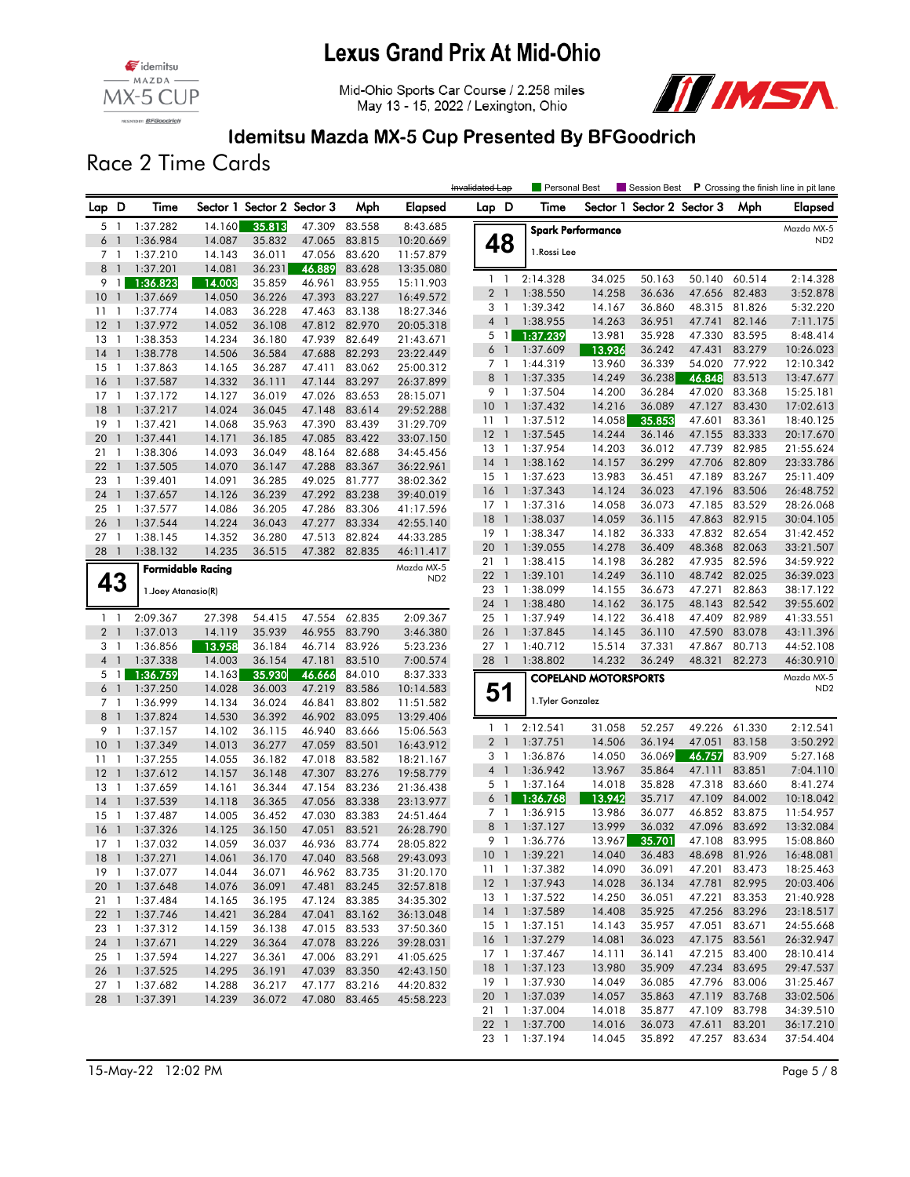

Mid-Ohio Sports Car Course / 2.258 miles May 13 - 15, 2022 / Lexington, Ohio



### Idemitsu Mazda MX-5 Cup Presented By BFGoodrich

Race 2 Time Cards

|                |                          |                     |                          |                            |               |               |                 | Invalidated Lap |                | <b>Personal Best</b> |                             | Session Best               |               |               | P Crossing the finish line in pit lane |
|----------------|--------------------------|---------------------|--------------------------|----------------------------|---------------|---------------|-----------------|-----------------|----------------|----------------------|-----------------------------|----------------------------|---------------|---------------|----------------------------------------|
| Lap D          |                          | Time                |                          | Sector 1 Sector 2 Sector 3 |               | Mph           | <b>Elapsed</b>  | Lap D           |                | Time                 |                             | Sector 1 Sector 2 Sector 3 |               | Mph           | <b>Elapsed</b>                         |
| 5              | $\overline{1}$           | 1:37.282            | 14.160                   | 35.813                     | 47.309        | 83.558        | 8:43.685        |                 |                |                      | <b>Spark Performance</b>    |                            |               |               | Mazda MX-5                             |
| 6 1            |                          | 1:36.984            | 14.087                   | 35.832                     | 47.065        | 83.815        | 10:20.669       | 48              |                |                      |                             |                            |               |               | ND <sub>2</sub>                        |
| 7 1            |                          | 1:37.210            | 14.143                   | 36.011                     | 47.056        | 83.620        | 11:57.879       |                 |                | 1. Rossi Lee         |                             |                            |               |               |                                        |
| 8 <sup>1</sup> |                          | 1:37.201            | 14.081                   | 36.231                     | 46.889        | 83.628        | 13:35.080       |                 |                |                      |                             |                            |               |               |                                        |
| 9 1            |                          | 1:36.823            | 14.003                   | 35.859                     | 46.961        | 83.955        | 15:11.903       | $1\quad$        |                | 2:14.328             | 34.025                      | 50.163                     | 50.140        | 60.514        | 2:14.328                               |
| 10             | $\overline{1}$           | 1:37.669            | 14.050                   | 36.226                     | 47.393        | 83.227        | 16:49.572       | 2 <sub>1</sub>  |                | 1:38.550             | 14.258                      | 36.636                     | 47.656        | 82.483        | 3:52.878                               |
| $11-1$         |                          | 1:37.774            | 14.083                   | 36.228                     | 47.463        | 83.138        | 18:27.346       | 31              |                | 1:39.342             | 14.167                      | 36.860                     | 48.315        | 81.826        | 5:32.220                               |
| 12             | $\overline{1}$           | 1:37.972            | 14.052                   | 36.108                     | 47.812        | 82.970        | 20:05.318       | 4 1             |                | 1:38.955             | 14.263                      | 36.951                     | 47.741        | 82.146        | 7:11.175                               |
| 13             | $\overline{1}$           | 1:38.353            | 14.234                   | 36.180                     | 47.939        | 82.649        | 21:43.671       | 5 1             |                | 1:37.239             | 13.981                      | 35.928                     | 47.330        | 83.595        | 8:48.414                               |
| 14             | $\mathbf{1}$             | 1:38.778            | 14.506                   | 36.584                     | 47.688        | 82.293        | 23:22.449       | 6 <sup>1</sup>  |                | 1:37.609             | 13.936                      | 36.242                     | 47.431        | 83.279        | 10:26.023                              |
| 15             | -1                       | 1:37.863            | 14.165                   | 36.287                     | 47.411        | 83.062        | 25:00.312       | 7 <sup>1</sup>  |                | 1:44.319             | 13.960                      | 36.339                     | 54.020        | 77.922        | 12:10.342                              |
| 16             | $\mathbf{1}$             | 1:37.587            | 14.332                   | 36.111                     | 47.144        | 83.297        | 26:37.899       | 8               | -1             | 1:37.335             | 14.249                      | 36.238                     | 46.848        | 83.513        | 13:47.677                              |
| 17             | $\overline{1}$           | 1:37.172            | 14.127                   | 36.019                     | 47.026        | 83.653        | 28:15.071       | 9 1             |                | 1:37.504             | 14.200                      | 36.284                     | 47.020        | 83.368        | 15:25.181                              |
| 18             | $\overline{1}$           | 1:37.217            | 14.024                   | 36.045                     | 47.148        | 83.614        | 29:52.288       | $10-1$          |                | 1:37.432             | 14.216                      | 36.089                     | 47.127        | 83.430        | 17:02.613                              |
| 19             | $\overline{1}$           | 1:37.421            | 14.068                   | 35.963                     | 47.390        | 83.439        | 31:29.709       | 11              | $\overline{1}$ | 1:37.512             | 14.058                      | 35.853                     | 47.601        | 83.361        | 18:40.125                              |
| 20             | $\overline{1}$           | 1:37.441            | 14.171                   | 36.185                     | 47.085        | 83.422        | 33:07.150       | 12              | $\overline{1}$ | 1:37.545             | 14.244                      | 36.146                     | 47.155        | 83.333        | 20:17.670                              |
| 21             | -1                       | 1:38.306            | 14.093                   | 36.049                     | 48.164        | 82.688        | 34:45.456       | 13              | $\overline{1}$ | 1:37.954             | 14.203                      | 36.012                     | 47.739        | 82.985        | 21:55.624                              |
| 22             | $\overline{1}$           | 1:37.505            | 14.070                   | 36.147                     | 47.288        | 83.367        | 36:22.961       | 14              | $\overline{1}$ | 1:38.162             | 14.157                      | 36.299                     | 47.706        | 82.809        | 23:33.786                              |
| 23             | $\overline{1}$           | 1:39.401            | 14.091                   | 36.285                     | 49.025        | 81.777        | 38:02.362       | $15-1$          |                | 1:37.623             | 13.983                      | 36.451                     | 47.189        | 83.267        | 25:11.409                              |
| 24             | $\overline{1}$           | 1:37.657            | 14.126                   | 36.239                     | 47.292        | 83.238        | 39:40.019       | 16              | $\overline{1}$ | 1:37.343             | 14.124                      | 36.023                     | 47.196        | 83.506        | 26:48.752                              |
| 25             | $\overline{1}$           | 1:37.577            | 14.086                   | 36.205                     |               | 47.286 83.306 | 41:17.596       | $17-1$          |                | 1:37.316             | 14.058                      | 36.073                     | 47.185        | 83.529        | 28:26.068                              |
| 26             | $\mathbf{1}$             | 1:37.544            | 14.224                   | 36.043                     | 47.277        | 83.334        | 42:55.140       | 18              | $\mathbf{1}$   | 1:38.037             | 14.059                      | 36.115                     | 47.863        | 82.915        | 30:04.105                              |
| 27             | -1                       | 1:38.145            | 14.352                   | 36.280                     | 47.513        | 82.824        | 44:33.285       | $19-1$          |                | 1:38.347             | 14.182                      | 36.333                     |               | 47.832 82.654 | 31:42.452                              |
| 28 1           |                          | 1:38.132            | 14.235                   | 36.515                     |               | 47.382 82.835 | 46:11.417       | 20              | $\overline{1}$ | 1:39.055             | 14.278                      | 36.409                     | 48.368        | 82.063        | 33:21.507                              |
|                |                          |                     | <b>Formidable Racing</b> |                            |               |               | Mazda MX-5      | 211             |                | 1:38.415             | 14.198                      | 36.282                     | 47.935        | 82.596        | 34:59.922                              |
| 43             |                          |                     |                          |                            |               |               | ND <sub>2</sub> | $22 \quad 1$    |                | 1:39.101             | 14.249                      | 36.110                     | 48.742        | 82.025        | 36:39.023                              |
|                |                          | 1. Joey Atanasio(R) |                          |                            |               |               |                 | 23 1            |                | 1:38.099             | 14.155                      | 36.673                     | 47.271        | 82.863        | 38:17.122                              |
|                |                          |                     |                          |                            |               |               |                 | 24              | $\overline{1}$ | 1:38.480             | 14.162                      | 36.175                     | 48.143        | 82.542        | 39:55.602                              |
| $1\quad$       |                          | 2:09.367            | 27.398                   | 54.415                     | 47.554        | 62.835        | 2:09.367        | 25              | $\overline{1}$ | 1:37.949             | 14.122                      | 36.418                     | 47.409        | 82.989        | 41:33.551                              |
| 2 <sub>1</sub> |                          | 1:37.013            | 14.119                   | 35.939                     | 46.955        | 83.790        | 3:46.380        | 26              | $\overline{1}$ | 1:37.845             | 14.145                      | 36.110                     | 47.590        | 83.078        | 43:11.396                              |
| 3 1            |                          | 1:36.856            | 13.958                   | 36.184                     | 46.714        | 83.926        | 5:23.236        | 27 <sub>1</sub> |                | 1:40.712             | 15.514                      | 37.331                     | 47.867        | 80.713        | 44:52.108                              |
| 4 <sup>1</sup> |                          | 1:37.338            | 14.003                   | 36.154                     | 47.181        | 83.510        | 7:00.574        | 28              | $\overline{1}$ | 1:38.802             | 14.232                      | 36.249                     | 48.321        | 82.273        | 46:30.910                              |
| 5 1            |                          | 1:36.759            | 14.163                   | 35.930                     | 46.666        | 84.010        | 8:37.333        |                 |                |                      | <b>COPELAND MOTORSPORTS</b> |                            |               |               | Mazda MX-5                             |
| 6              | $\overline{\phantom{a}}$ | 1:37.250            | 14.028                   | 36.003                     | 47.219        | 83.586        | 10:14.583       | 51              |                |                      |                             |                            |               |               | ND <sub>2</sub>                        |
| 7 <sub>1</sub> |                          | 1:36.999            | 14.134                   | 36.024                     | 46.841        | 83.802        | 11:51.582       |                 |                | 1. Tyler Gonzalez    |                             |                            |               |               |                                        |
| 8              | $\overline{1}$           | 1:37.824            | 14.530                   | 36.392                     | 46.902        | 83.095        | 13:29.406       |                 |                |                      |                             |                            |               |               |                                        |
| 9 1            |                          | 1:37.157            | 14.102                   | 36.115                     | 46.940        | 83.666        | 15:06.563       | $1 \quad 1$     |                | 2:12.541             | 31.058                      | 52.257                     | 49.226        | 61.330        | 2:12.541                               |
| 10             | $\overline{1}$           | 1:37.349            | 14.013                   | 36.277                     | 47.059        | 83.501        | 16:43.912       | 2 <sub>1</sub>  |                | 1:37.751             | 14.506                      | 36.194                     | 47.051        | 83.158        | 3:50.292                               |
| 11             | $\mathbf{1}$             | 1:37.255            | 14.055                   | 36.182                     | 47.018        | 83.582        | 18:21.167       | 31              |                | 1:36.876             | 14.050                      | 36.069                     | 46.757        | 83.909        | 5:27.168                               |
| 12             | $\mathbf{1}$             | 1:37.612            | 14.157                   | 36.148                     | 47.307        | 83.276        | 19:58.779       | $4-1$           |                | 1:36.942             | 13.967                      | 35.864                     | 47.111        | 83.851        | 7:04.110                               |
| 13             | $\overline{1}$           | 1:37.659            | 14.161                   | 36.344                     | 47.154        | 83.236        | 21:36.438       | 5 1             |                | 1:37.164             | 14.018                      | 35.828                     | 47.318        | 83.660        | 8:41.274                               |
| 14             | $\overline{1}$           | 1:37.539            | 14.118                   | 36.365                     | 47.056        | 83.338        | 23:13.977       | 6 <sup>1</sup>  |                | 1:36.768             | 13.942                      | 35.717                     | 47.109        | 84.002        | 10:18.042                              |
| 15             | -1                       | 1:37.487            | 14.005                   | 36.452                     | 47.030        | 83.383        | 24:51.464       | 7 <sub>1</sub>  |                | 1:36.915             | 13.986                      | 36.077                     | 46.852        | 83.875        | 11:54.957                              |
| 16             | $\overline{1}$           | 1:37.326            | 14.125                   | 36.150                     | 47.051        | 83.521        | 26:28.790       | 8               | $\overline{1}$ | 1:37.127             | 13.999                      | 36.032                     | 47.096        | 83.692        | 13:32.084                              |
| 17             | - 1                      | 1:37.032            | 14.059                   | 36.037                     | 46.936        | 83.774        | 28:05.822       | 9 1             |                | 1:36.776             | 13.967                      | 35.701                     | 47.108        | 83.995        | 15:08.860                              |
|                |                          | 18 1 1:37.271       | 14.061                   | 36.170                     |               | 47.040 83.568 | 29:43.093       |                 |                | 10 1 1:39.221        | 14.040                      | 36.483                     |               | 48.698 81.926 | 16:48.081                              |
|                |                          | 19 1 1:37.077       | 14.044                   | 36.071                     |               | 46.962 83.735 | 31:20.170       |                 |                | 11 1 1:37.382        | 14.090                      | 36.091                     |               | 47.201 83.473 | 18:25.463                              |
|                |                          | 20 1 1:37.648       | 14.076                   | 36.091                     |               | 47.481 83.245 | 32:57.818       | $12-1$          |                | 1:37.943             | 14.028                      | 36.134                     |               | 47.781 82.995 | 20:03.406                              |
|                |                          | 21 1 1:37.484       | 14.165                   | 36.195                     |               | 47.124 83.385 | 34:35.302       | 13 1            |                | 1:37.522             | 14.250                      | 36.051                     |               | 47.221 83.353 | 21:40.928                              |
|                |                          | 22 1 1:37.746       | 14.421                   | 36.284                     |               | 47.041 83.162 | 36:13.048       | $14-1$          |                | 1:37.589             | 14.408                      | 35.925                     |               | 47.256 83.296 | 23:18.517                              |
| 23 1           |                          | 1:37.312            | 14.159                   | 36.138                     |               | 47.015 83.533 | 37:50.360       | 15 1            |                | 1:37.151             | 14.143                      | 35.957                     | 47.051 83.671 |               | 24:55.668                              |
|                |                          | 24 1 1:37.671       | 14.229                   | 36.364                     |               | 47.078 83.226 | 39:28.031       | 16 1            |                | 1:37.279             | 14.081                      | 36.023                     | 47.175 83.561 |               | 26:32.947                              |
| 25 1           |                          | 1:37.594            | 14.227                   | 36.361                     | 47.006 83.291 |               | 41:05.625       | $17-1$          |                | 1:37.467             | 14.111                      | 36.141                     |               | 47.215 83.400 | 28:10.414                              |
| 26 1           |                          | 1:37.525            | 14.295                   | 36.191                     |               | 47.039 83.350 | 42:43.150       | 18 <sup>1</sup> |                | 1:37.123             | 13.980                      | 35.909                     |               | 47.234 83.695 | 29:47.537                              |
| 27 1           |                          | 1:37.682            | 14.288                   | 36.217                     |               | 47.177 83.216 | 44:20.832       | 19 1            |                | 1:37.930             | 14.049                      | 36.085                     |               | 47.796 83.006 | 31:25.467                              |
| 28 1           |                          | 1:37.391            | 14.239                   | 36.072                     |               | 47.080 83.465 | 45:58.223       | 20 1            |                | 1:37.039             | 14.057                      | 35.863                     |               | 47.119 83.768 | 33:02.506                              |
|                |                          |                     |                          |                            |               |               |                 | 21 1            |                | 1:37.004             | 14.018                      | 35.877                     |               | 47.109 83.798 | 34:39.510                              |
|                |                          |                     |                          |                            |               |               |                 | 22 <sub>1</sub> |                | 1:37.700             | 14.016                      | 36.073                     | 47.611 83.201 |               | 36:17.210                              |
|                |                          |                     |                          |                            |               |               |                 | 23 1            |                | 1:37.194             | 14.045                      | 35.892                     | 47.257 83.634 |               | 37:54.404                              |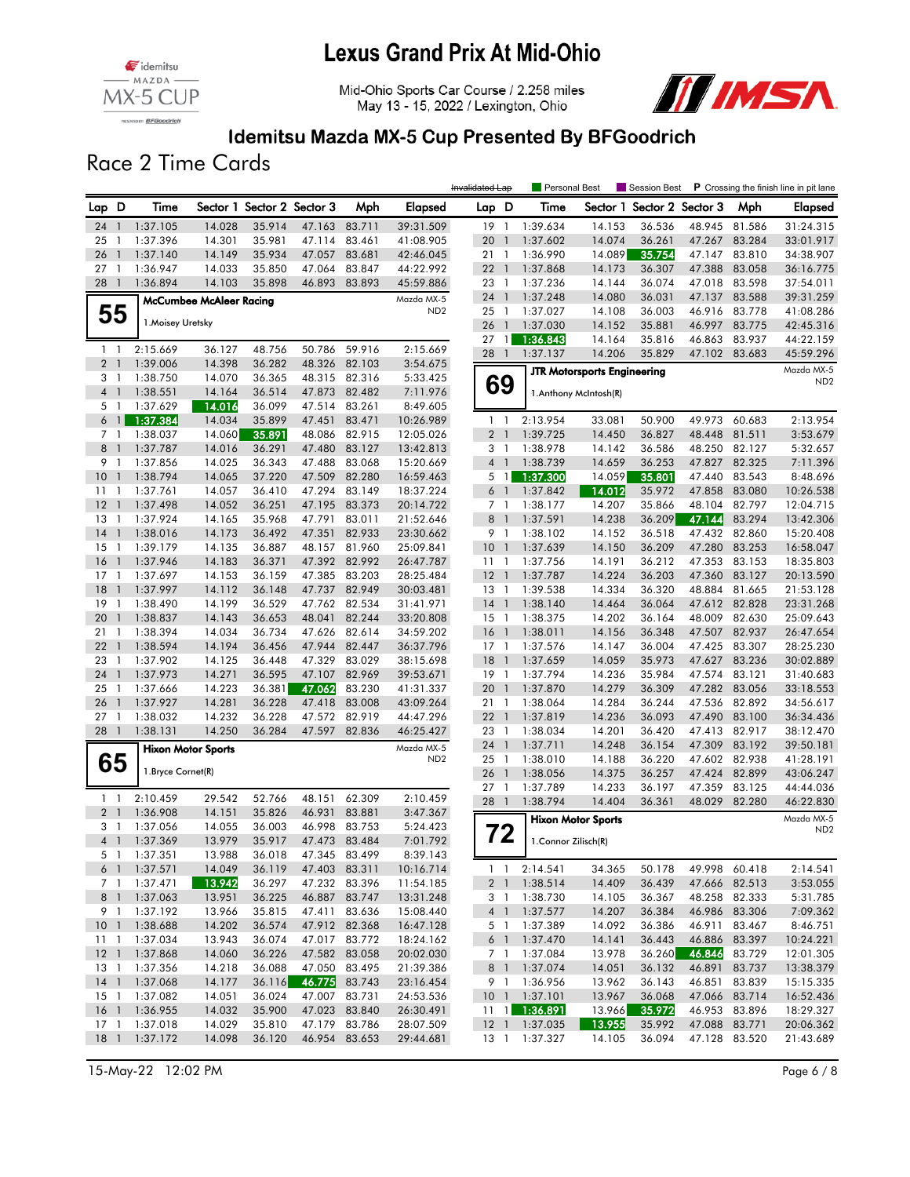

Mid-Ohio Sports Car Course / 2.258 miles May 13 - 15, 2022 / Lexington, Ohio



### Idemitsu Mazda MX-5 Cup Presented By BFGoodrich

Race 2 Time Cards

|                            |                |                      |                                |                            |                  |                  |                      | Invalidated Lap |                | Personal Best               |                                    | Session Best               |               |               | P Crossing the finish line in pit lane |
|----------------------------|----------------|----------------------|--------------------------------|----------------------------|------------------|------------------|----------------------|-----------------|----------------|-----------------------------|------------------------------------|----------------------------|---------------|---------------|----------------------------------------|
| Lap D                      |                | Time                 |                                | Sector 1 Sector 2 Sector 3 |                  | Mph              | Elapsed              | Lap D           |                | Time                        |                                    | Sector 1 Sector 2 Sector 3 |               | Mph           | Elapsed                                |
| 24                         | $\overline{1}$ | 1:37.105             | 14.028                         | 35.914                     | 47.163           | 83.711           | 39:31.509            | 19 1            |                | 1:39.634                    | 14.153                             | 36.536                     | 48.945        | 81.586        | 31:24.315                              |
| 25                         | $\overline{1}$ | 1:37.396             | 14.301                         | 35.981                     | 47.114           | 83.461           | 41:08.905            | 20              | $\overline{1}$ | 1:37.602                    | 14.074                             | 36.261                     | 47.267        | 83.284        | 33:01.917                              |
| 26                         | $\overline{1}$ | 1:37.140             | 14.149                         | 35.934                     | 47.057           | 83.681           | 42:46.045            | 211             |                | 1:36.990                    | 14.089                             | 35.754                     | 47.147        | 83.810        | 34:38.907                              |
| 27                         | -1             | 1:36.947             | 14.033                         | 35.850                     | 47.064           | 83.847           | 44:22.992            | 221             |                | 1:37.868                    | 14.173                             | 36.307                     | 47.388        | 83.058        | 36:16.775                              |
| 28 1                       |                | 1:36.894             | 14.103                         | 35.898                     | 46.893           | 83.893           | 45:59.886            | 23 1            |                | 1:37.236                    | 14.144                             | 36.074                     | 47.018        | 83.598        | 37:54.011                              |
|                            |                |                      | <b>McCumbee McAleer Racing</b> |                            |                  |                  | Mazda MX-5           | 24 1            |                | 1:37.248                    | 14.080                             | 36.031                     | 47.137        | 83.588        | 39:31.259                              |
|                            | 55             |                      |                                |                            |                  |                  | ND <sub>2</sub>      | 25              | $\overline{1}$ | 1:37.027                    | 14.108                             | 36.003                     | 46.916        | 83.778        | 41:08.286                              |
|                            |                | 1. Moisey Uretsky    |                                |                            |                  |                  |                      | 26              | $\overline{1}$ | 1:37.030                    | 14.152                             | 35.881                     | 46.997        | 83.775        | 42:45.316                              |
|                            |                |                      |                                |                            |                  |                  |                      | 27              | $\overline{1}$ | 1:36.843                    | 14.164                             | 35.816                     | 46.863        | 83.937        | 44:22.159                              |
| $1\quad$<br>2 <sub>1</sub> |                | 2:15.669<br>1:39.006 | 36.127<br>14.398               | 48.756<br>36.282           | 50.786<br>48.326 | 59.916<br>82.103 | 2:15.669<br>3:54.675 | 28 1            |                | 1:37.137                    | 14.206                             | 35.829                     | 47.102        | 83.683        | 45:59.296                              |
| 3 1                        |                | 1:38.750             | 14.070                         | 36.365                     | 48.315           | 82.316           | 5:33.425             |                 |                |                             | <b>JTR Motorsports Engineering</b> |                            |               |               | Mazda MX-5                             |
| $4-1$                      |                | 1:38.551             | 14.164                         | 36.514                     | 47.873           | 82.482           | 7:11.976             | 69              |                |                             | 1.Anthony McIntosh(R)              |                            |               |               | ND <sub>2</sub>                        |
| 5 1                        |                | 1:37.629             | 14.016                         | 36.099                     | 47.514           | 83.261           | 8:49.605             |                 |                |                             |                                    |                            |               |               |                                        |
| 6 <sup>1</sup>             |                | 1:37.384             | 14.034                         | 35.899                     | 47.451           | 83.471           | 10:26.989            | $1\quad$        |                | 2:13.954                    | 33.081                             | 50.900                     | 49.973        | 60.683        | 2:13.954                               |
| 7 <sub>1</sub>             |                | 1:38.037             | 14.060                         | 35.891                     | 48.086           | 82.915           | 12:05.026            | 2 <sub>1</sub>  |                | 1:39.725                    | 14.450                             | 36.827                     | 48.448        | 81.511        | 3:53.679                               |
| 8                          | $\mathbf{1}$   | 1:37.787             | 14.016                         | 36.291                     | 47.480           | 83.127           | 13:42.813            | 3 <sub>1</sub>  |                | 1:38.978                    | 14.142                             | 36.586                     | 48.250        | 82.127        | 5:32.657                               |
| 9                          | $\overline{1}$ | 1:37.856             | 14.025                         | 36.343                     | 47.488           | 83.068           | 15:20.669            | $4 \quad 1$     |                | 1:38.739                    | 14.659                             | 36.253                     | 47.827        | 82.325        | 7:11.396                               |
| 10                         | $\overline{1}$ | 1:38.794             | 14.065                         | 37.220                     | 47.509           | 82.280           | 16:59.463            | 5 <sub>1</sub>  |                | 1:37.300                    | 14.059                             | 35.801                     | 47.440        | 83.543        | 8:48.696                               |
| 11                         | $\overline{1}$ | 1:37.761             | 14.057                         | 36.410                     | 47.294           | 83.149           | 18:37.224            | 6 <sup>1</sup>  |                | 1:37.842                    | 14.012                             | 35.972                     | 47.858        | 83.080        | 10:26.538                              |
| 12                         | $\overline{1}$ | 1:37.498             | 14.052                         | 36.251                     | 47.195           | 83.373           | 20:14.722            | 7 1             |                | 1:38.177                    | 14.207                             | 35.866                     | 48.104        | 82.797        | 12:04.715                              |
| 13                         | $\mathbf{1}$   | 1:37.924             | 14.165                         | 35.968                     | 47.791           | 83.011           | 21:52.646            | 8 <sup>1</sup>  |                | 1:37.591                    | 14.238                             | 36.209                     | 47.144        | 83.294        | 13:42.306                              |
| 14                         | $\overline{1}$ | 1:38.016             | 14.173                         | 36.492                     | 47.351           | 82.933           | 23:30.662            | 9 1             |                | 1:38.102                    | 14.152                             | 36.518                     | 47.432        | 82.860        | 15:20.408                              |
| 15                         | $\overline{1}$ | 1:39.179             | 14.135                         | 36.887                     |                  | 48.157 81.960    | 25:09.841            | 10 <sub>1</sub> |                | 1:37.639                    | 14.150                             | 36.209                     | 47.280        | 83.253        | 16:58.047                              |
| 16                         | $\overline{1}$ | 1:37.946             | 14.183                         | 36.371                     | 47.392           | 82.992           | 26:47.787            | $11-1$          |                | 1:37.756                    | 14.191                             | 36.212                     | 47.353        | 83.153        | 18:35.803                              |
| $17-1$                     |                | 1:37.697             | 14.153                         | 36.159                     |                  | 47.385 83.203    | 28:25.484            | $12-1$          |                | 1:37.787                    | 14.224                             | 36.203                     | 47.360        | 83.127        | 20:13.590                              |
| 18                         | $\mathbf{1}$   | 1:37.997             | 14.112                         | 36.148                     | 47.737           | 82.949           | 30:03.481            | $13-1$          |                | 1:39.538                    | 14.334                             | 36.320                     | 48.884        | 81.665        | 21:53.128                              |
| 19                         | $\overline{1}$ | 1:38.490             | 14.199                         | 36.529                     | 47.762           | 82.534           | 31:41.971            | $14-1$          |                | 1:38.140                    | 14.464                             | 36.064                     | 47.612        | 82.828        | 23:31.268                              |
| 20                         | $\mathbf{1}$   | 1:38.837             | 14.143                         | 36.653                     | 48.041           | 82.244           | 33:20.808            | $15-1$          |                | 1:38.375                    | 14.202                             | 36.164                     | 48.009        | 82.630        | 25:09.643                              |
| 21                         | $\overline{1}$ | 1:38.394             | 14.034                         | 36.734                     | 47.626           | 82.614           | 34:59.202            | $16-1$          |                | 1:38.011                    | 14.156                             | 36.348                     | 47.507        | 82.937        | 26:47.654                              |
| 22                         | $\overline{1}$ | 1:38.594             | 14.194                         | 36.456                     | 47.944           | 82.447           | 36:37.796            | $17-1$          |                | 1:37.576                    | 14.147                             | 36.004                     | 47.425        | 83.307        | 28:25.230                              |
| 23                         | $\overline{1}$ | 1:37.902             | 14.125                         | 36.448                     | 47.329           | 83.029           | 38:15.698            | 18              | $\overline{1}$ | 1:37.659                    | 14.059                             | 35.973                     | 47.627        | 83.236        | 30:02.889                              |
| 24                         | $\overline{1}$ | 1:37.973             | 14.271                         | 36.595                     | 47.107           | 82.969           | 39:53.671            | 19 1            |                | 1:37.794                    | 14.236                             | 35.984                     | 47.574        | 83.121        | 31:40.683                              |
| 25                         | $\overline{1}$ | 1:37.666             | 14.223                         | 36.381                     | 47.062           | 83.230           | 41:31.337            | 20              | $\overline{1}$ | 1:37.870                    | 14.279                             | 36.309                     | 47.282        | 83.056        | 33:18.553                              |
| 26                         | $\overline{1}$ | 1:37.927             | 14.281                         | 36.228                     | 47.418           | 83.008           | 43:09.264            | 21 1            |                | 1:38.064                    | 14.284                             | 36.244                     | 47.536        | 82.892        | 34:56.617                              |
| $27-1$                     |                | 1:38.032             | 14.232                         | 36.228                     | 47.572           | 82.919           | 44:47.296            | 221             |                | 1:37.819                    | 14.236                             | 36.093                     | 47.490        | 83.100        | 36:34.436                              |
| 28 1                       |                | 1:38.131             | 14.250                         | 36.284                     | 47.597           | 82.836           | 46:25.427            | 23 1            |                | 1:38.034                    | 14.201                             | 36.420                     | 47.413        | 82.917        | 38:12.470                              |
|                            |                |                      | <b>Hixon Motor Sports</b>      |                            |                  |                  | Mazda MX-5           | 24              | $\overline{1}$ | 1:37.711                    | 14.248                             | 36.154                     | 47.309        | 83.192        | 39:50.181                              |
|                            | 65             |                      |                                |                            |                  |                  | ND <sub>2</sub>      | 25 1            |                | 1:38.010                    | 14.188                             | 36.220                     | 47.602        | 82.938        | 41:28.191                              |
|                            |                | 1. Bryce Cornet(R)   |                                |                            |                  |                  |                      | 26              | $\mathbf{1}$   | 1:38.056                    | 14.375                             | 36.257                     | 47.424        | 82.899        | 43:06.247                              |
|                            |                |                      | 29.542                         |                            |                  |                  |                      | $27-1$          |                | 1:37.789                    | 14.233                             | 36.197                     | 47.359        | 83.125        | 44:44.036                              |
| $1\quad$<br>2 <sub>1</sub> |                | 2:10.459             |                                | 52.766                     | 48.151<br>46.931 | 62.309<br>83.881 | 2:10.459             | 28              | $\overline{1}$ | 1:38.794                    | 14.404                             | 36.361                     | 48.029        | 82.280        | 46:22.830                              |
| 3 1                        |                | 1:36.908<br>1:37.056 | 14.151<br>14.055               | 35.826<br>36.003           | 46.998           | 83.753           | 3:47.367<br>5:24.423 |                 |                |                             | <b>Hixon Motor Sports</b>          |                            |               |               | Mazda MX-5                             |
| 4 <sub>1</sub>             |                | 1:37.369             | 13.979                         | 35.917                     | 47.473           | 83.484           | 7:01.792             |                 | 72             |                             |                                    |                            |               |               | ND <sub>2</sub>                        |
| 5 1                        |                | 1:37.351             | 13.988                         | 36.018                     |                  | 47.345 83.499    | 8:39.143             |                 |                | 1. Connor Zilisch(R)        |                                    |                            |               |               |                                        |
| 6 1                        |                | 1:37.571             | 14.049                         | 36.119                     |                  | 47.403 83.311    | 10:16.714            |                 |                | $1 \quad 1 \quad 2:14.541$  | 34.365                             | 50.178                     |               | 49.998 60.418 | 2:14.541                               |
| 7 <sub>1</sub>             |                | 1:37.471             | 13.942                         | 36.297                     |                  | 47.232 83.396    | 11:54.185            | 2 <sub>1</sub>  |                | 1:38.514                    | 14.409                             | 36.439                     |               | 47.666 82.513 | 3:53.055                               |
| 8 1                        |                | 1:37.063             | 13.951                         | 36.225                     |                  | 46.887 83.747    | 13:31.248            |                 | 3 1            | 1:38.730                    | 14.105                             | 36.367                     |               | 48.258 82.333 | 5:31.785                               |
| 9 1                        |                | 1:37.192             | 13.966                         | 35.815                     |                  | 47.411 83.636    | 15:08.440            | 4 <sup>1</sup>  |                | 1:37.577                    | 14.207                             | 36.384                     |               | 46.986 83.306 | 7:09.362                               |
|                            |                | 10 1 1:38.688        | 14.202                         | 36.574                     |                  | 47.912 82.368    | 16:47.128            |                 | 5 1            | 1:37.389                    | 14.092                             | 36.386                     | 46.911        | 83.467        | 8:46.751                               |
| $11-1$                     |                | 1:37.034             | 13.943                         | 36.074                     |                  | 47.017 83.772    | 18:24.162            |                 | 6 1            | 1:37.470                    | 14.141                             | 36.443                     | 46.886        | 83.397        | 10:24.221                              |
| $12-1$                     |                | 1:37.868             | 14.060                         | 36.226                     |                  | 47.582 83.058    | 20:02.030            | 7 1             |                | 1:37.084                    | 13.978                             | 36.260                     | 46.846        | 83.729        | 12:01.305                              |
| 13 1                       |                | 1:37.356             | 14.218                         | 36.088                     |                  | 47.050 83.495    | 21:39.386            | 8 1             |                | 1:37.074                    | 14.051                             | 36.132                     | 46.891        | 83.737        | 13:38.379                              |
| $14-1$                     |                | 1:37.068             | 14.177                         | 36.116                     | 46.775 83.743    |                  | 23:16.454            | 9 1             |                | 1:36.956                    | 13.962                             | 36.143                     | 46.851        | 83.839        | 15:15.335                              |
| $15-1$                     |                | 1:37.082             | 14.051                         | 36.024                     |                  | 47.007 83.731    | 24:53.536            |                 |                | 10 1 1:37.101               | 13.967                             | 36.068                     |               | 47.066 83.714 | 16:52.436                              |
| $16-1$                     |                | 1:36.955             | 14.032                         | 35.900                     |                  | 47.023 83.840    | 26:30.491            |                 |                | $11 \quad 1 \quad 1:36.891$ | 13.966                             | 35.972                     |               | 46.953 83.896 | 18:29.327                              |
| $17-1$                     |                | 1:37.018             | 14.029                         | 35.810                     |                  | 47.179 83.786    | 28:07.509            | $12-1$          |                | 1:37.035                    | 13.955                             | 35.992                     | 47.088 83.771 |               | 20:06.362                              |
|                            |                | 18 1 1:37.172        | 14.098                         | 36.120                     |                  | 46.954 83.653    | 29:44.681            |                 |                | 13 1 1:37.327               | 14.105                             | 36.094                     |               | 47.128 83.520 | 21:43.689                              |
|                            |                |                      |                                |                            |                  |                  |                      |                 |                |                             |                                    |                            |               |               |                                        |

15-May-22 12:02 PM Page 6 / 8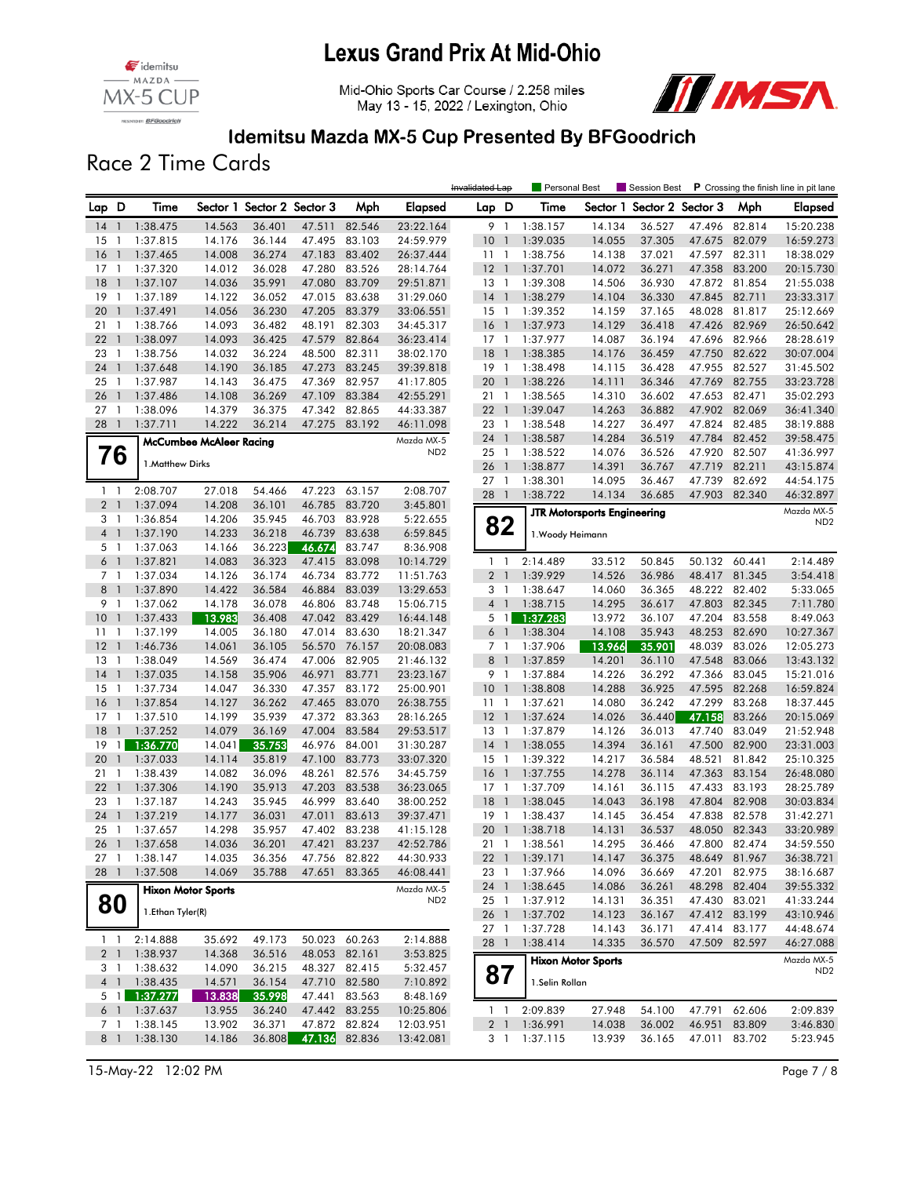





#### Idemitsu Mazda MX-5 Cup Presented By BFGoodrich

Race 2 Time Cards

|                     |                                  |                      |                                |                            |                  |                  |                               | Invalidated Lap       |                          | Personal Best        |                                    | Session Best               |                  |                  | P Crossing the finish line in pit lane |
|---------------------|----------------------------------|----------------------|--------------------------------|----------------------------|------------------|------------------|-------------------------------|-----------------------|--------------------------|----------------------|------------------------------------|----------------------------|------------------|------------------|----------------------------------------|
| Lap D               |                                  | Time                 |                                | Sector 1 Sector 2 Sector 3 |                  | Mph              | Elapsed                       | Lap D                 |                          | Time                 |                                    | Sector 1 Sector 2 Sector 3 |                  | Mph              | Elapsed                                |
| $14-1$              |                                  | 1:38.475             | 14.563                         | 36.401                     | 47.511           | 82.546           | 23:22.164                     | 9 1                   |                          | 1:38.157             | 14.134                             | 36.527                     | 47.496           | 82.814           | 15:20.238                              |
| 15                  | $\overline{1}$                   | 1:37.815             | 14.176                         | 36.144                     | 47.495           | 83.103           | 24:59.979                     | 10                    | $\overline{\phantom{a}}$ | 1:39.035             | 14.055                             | 37.305                     | 47.675           | 82.079           | 16:59.273                              |
| 16                  | $\overline{1}$                   | 1:37.465             | 14.008                         | 36.274                     | 47.183           | 83.402           | 26:37.444                     | 1111                  |                          | 1:38.756             | 14.138                             | 37.021                     | 47.597           | 82.311           | 18:38.029                              |
| 17                  | $\overline{1}$                   | 1:37.320             | 14.012                         | 36.028                     | 47.280           | 83.526           | 28:14.764                     | $12-1$                |                          | 1:37.701             | 14.072                             | 36.271                     | 47.358           | 83.200           | 20:15.730                              |
| 18                  | $\overline{1}$                   | 1:37.107             | 14.036                         | 35.991                     | 47.080           | 83.709           | 29:51.871                     | $13-1$                |                          | 1:39.308             | 14.506                             | 36.930                     | 47.872           | 81.854           | 21:55.038                              |
| 19                  | $\overline{1}$                   | 1:37.189             | 14.122                         | 36.052                     | 47.015           | 83.638           | 31:29.060                     | $14-1$                |                          | 1:38.279             | 14.104                             | 36.330                     | 47.845           | 82.711           | 23:33.317                              |
| 20                  | $\overline{\phantom{a}}$         | 1:37.491             | 14.056                         | 36.230                     | 47.205           | 83.379           | 33:06.551                     | 15                    | $\overline{1}$           | 1:39.352             | 14.159                             | 37.165                     | 48.028           | 81.817           | 25:12.669                              |
| 211                 |                                  | 1:38.766             | 14.093                         | 36.482                     | 48.191           | 82.303           | 34:45.317                     | 16                    | $\overline{1}$           | 1:37.973             | 14.129                             | 36.418                     | 47.426           | 82.969           | 26:50.642                              |
| 22<br>23            | $\overline{1}$<br>$\overline{1}$ | 1:38.097<br>1:38.756 | 14.093<br>14.032               | 36.425<br>36.224           | 47.579<br>48.500 | 82.864<br>82.311 | 36:23.414<br>38:02.170        | $17-1$<br>18          | $\overline{1}$           | 1:37.977<br>1:38.385 | 14.087<br>14.176                   | 36.194<br>36.459           | 47.696<br>47.750 | 82.966<br>82.622 | 28:28.619<br>30:07.004                 |
| 24                  | $\overline{1}$                   | 1:37.648             | 14.190                         | 36.185                     | 47.273           | 83.245           | 39:39.818                     | $19-1$                |                          | 1:38.498             | 14.115                             | 36.428                     | 47.955           | 82.527           | 31:45.502                              |
| 25                  | $\mathbf{1}$                     | 1:37.987             | 14.143                         | 36.475                     | 47.369           | 82.957           | 41:17.805                     | 20                    | $\mathbf{1}$             | 1:38.226             | 14.111                             | 36.346                     | 47.769           | 82.755           | 33:23.728                              |
| 26                  | $\overline{1}$                   | 1:37.486             | 14.108                         | 36.269                     | 47.109           | 83.384           | 42:55.291                     | 211                   |                          | 1:38.565             | 14.310                             | 36.602                     | 47.653           | 82.471           | 35:02.293                              |
| 27                  | $\overline{\phantom{a}}$         | 1:38.096             | 14.379                         | 36.375                     | 47.342           | 82.865           | 44:33.387                     | 221                   |                          | 1:39.047             | 14.263                             | 36.882                     | 47.902           | 82.069           | 36:41.340                              |
| 28 1                |                                  | 1:37.711             | 14.222                         | 36.214                     | 47.275           | 83.192           | 46:11.098                     | 23 1                  |                          | 1:38.548             | 14.227                             | 36.497                     | 47.824           | 82.485           | 38:19.888                              |
|                     |                                  |                      | <b>McCumbee McAleer Racing</b> |                            |                  |                  | Mazda MX-5                    | 24                    | $\overline{1}$           | 1:38.587             | 14.284                             | 36.519                     | 47.784           | 82.452           | 39:58.475                              |
|                     | 76                               |                      |                                |                            |                  |                  | ND <sub>2</sub>               | 25                    | $\overline{1}$           | 1:38.522             | 14.076                             | 36.526                     | 47.920           | 82.507           | 41:36.997                              |
|                     |                                  | 1. Matthew Dirks     |                                |                            |                  |                  |                               | 26                    | $\mathbf{1}$             | 1:38.877             | 14.391                             | 36.767                     | 47.719           | 82.211           | 43:15.874                              |
|                     |                                  |                      |                                |                            |                  |                  |                               | 27                    | -1                       | 1:38.301             | 14.095                             | 36.467                     | 47.739           | 82.692           | 44:54.175                              |
| $1\quad$            |                                  | 2:08.707             | 27.018                         | 54.466                     | 47.223           | 63.157           | 2:08.707                      | 28                    | $\overline{1}$           | 1:38.722             | 14.134                             | 36.685                     | 47.903           | 82.340           | 46:32.897                              |
| 2 <sub>1</sub>      |                                  | 1:37.094             | 14.208                         | 36.101                     | 46.785           | 83.720           | 3:45.801                      |                       |                          |                      | <b>JTR Motorsports Engineering</b> |                            |                  |                  | Mazda MX-5                             |
| 3 1                 |                                  | 1:36.854             | 14.206                         | 35.945                     | 46.703           | 83.928           | 5:22.655                      |                       | 82                       |                      |                                    |                            |                  |                  | ND <sub>2</sub>                        |
| $4-1$               |                                  | 1:37.190             | 14.233                         | 36.218                     | 46.739           | 83.638           | 6:59.845                      |                       |                          | 1. Woody Heimann     |                                    |                            |                  |                  |                                        |
| 5 <sub>1</sub>      |                                  | 1:37.063             | 14.166                         | 36.223                     | 46.674           | 83.747           | 8:36.908                      |                       |                          |                      |                                    |                            |                  |                  |                                        |
| $6-1$               |                                  | 1:37.821             | 14.083                         | 36.323                     | 47.415           | 83.098           | 10:14.729                     | $1\quad$              |                          | 2:14.489             | 33.512                             | 50.845                     | 50.132           | 60.441           | 2:14.489                               |
| 7 <sub>1</sub><br>8 | $\overline{1}$                   | 1:37.034             | 14.126                         | 36.174                     | 46.734<br>46.884 | 83.772<br>83.039 | 11:51.763                     | 2 <sub>1</sub>        |                          | 1:39.929             | 14.526                             | 36.986                     | 48.417           | 81.345           | 3:54.418                               |
| 9 1                 |                                  | 1:37.890<br>1:37.062 | 14.422<br>14.178               | 36.584<br>36.078           | 46.806           | 83.748           | 13:29.653<br>15:06.715        | 3 1<br>4 <sup>1</sup> |                          | 1:38.647<br>1:38.715 | 14.060<br>14.295                   | 36.365<br>36.617           | 48.222<br>47.803 | 82.402<br>82.345 | 5:33.065<br>7:11.780                   |
| 10                  | $\overline{1}$                   | 1:37.433             | 13.983                         | 36.408                     | 47.042           | 83.429           | 16:44.148                     |                       | 5 <sub>1</sub>           | 1:37.283             | 13.972                             | 36.107                     | 47.204           | 83.558           | 8:49.063                               |
| 11                  | $\overline{1}$                   | 1:37.199             | 14.005                         | 36.180                     | 47.014           | 83.630           | 18:21.347                     | 6 <sup>1</sup>        |                          | 1:38.304             | 14.108                             | 35.943                     | 48.253           | 82.690           | 10:27.367                              |
| 12                  | $\overline{1}$                   | 1:46.736             | 14.061                         | 36.105                     | 56.570           | 76.157           | 20:08.083                     | 7 <sub>1</sub>        |                          | 1:37.906             | 13.966                             | 35.901                     | 48.039           | 83.026           | 12:05.273                              |
| 13                  | $\overline{1}$                   | 1:38.049             | 14.569                         | 36.474                     | 47.006           | 82.905           | 21:46.132                     | 8                     | $\overline{\phantom{a}}$ | 1:37.859             | 14.201                             | 36.110                     | 47.548           | 83.066           | 13:43.132                              |
| 14                  | $\overline{1}$                   | 1:37.035             | 14.158                         | 35.906                     | 46.971           | 83.771           | 23:23.167                     | 9 1                   |                          | 1:37.884             | 14.226                             | 36.292                     | 47.366           | 83.045           | 15:21.016                              |
| 15                  | $\overline{1}$                   | 1:37.734             | 14.047                         | 36.330                     | 47.357           | 83.172           | 25:00.901                     | 10 <sub>1</sub>       |                          | 1:38.808             | 14.288                             | 36.925                     | 47.595           | 82.268           | 16:59.824                              |
| 16                  | $\overline{\phantom{a}}$         | 1:37.854             | 14.127                         | 36.262                     | 47.465           | 83.070           | 26:38.755                     | 11                    | $\overline{1}$           | 1:37.621             | 14.080                             | 36.242                     | 47.299           | 83.268           | 18:37.445                              |
| 17                  | $\overline{1}$                   | 1:37.510             | 14.199                         | 35.939                     | 47.372           | 83.363           | 28:16.265                     | 12                    | $\overline{1}$           | 1:37.624             | 14.026                             | 36.440                     | 47.158           | 83.266           | 20:15.069                              |
| 18                  | $\overline{\phantom{a}}$         | 1:37.252             | 14.079                         | 36.169                     | 47.004           | 83.584           | 29:53.517                     | 13                    | $\overline{1}$           | 1:37.879             | 14.126                             | 36.013                     | 47.740           | 83.049           | 21:52.948                              |
| 19                  |                                  | 1:36.770             | 14.041                         | 35.753                     | 46.976           | 84.001           | 31:30.287                     | $14-1$                |                          | 1:38.055             | 14.394                             | 36.161                     | 47.500           | 82.900           | 23:31.003                              |
| 20                  | $\overline{1}$                   | 1:37.033             | 14.114                         | 35.819                     | 47.100           | 83.773           | 33:07.320                     | $15-1$                |                          | 1:39.322             | 14.217                             | 36.584                     | 48.521           | 81.842           | 25:10.325                              |
| 21                  | 1                                | 1:38.439             | 14.082                         | 36.096                     | 48.261           | 82.576           | 34:45.759                     | 16                    | $\overline{1}$           | 1:37.755             | 14.278                             | 36.114                     | 47.363           | 83.154           | 26:48.080                              |
| 22                  | $\overline{1}$                   | 1:37.306             | 14.190                         | 35.913                     | 47.203           | 83.538           | 36:23.065                     | $17-1$                |                          | 1:37.709             | 14.161                             | 36.115                     | 47.433           | 83.193           | 28:25.789                              |
| 23                  | $\overline{1}$                   | 1:37.187             | 14.243                         | 35.945                     | 46.999           | 83.640           | 38:00.252                     | 18                    | $\mathbf{1}$             | 1:38.045             | 14.043                             | 36.198                     | 47.804           | 82.908           | 30:03.834                              |
| 24                  | $\overline{1}$                   | 1:37.219             | 14.177                         | 36.031                     | 47.011           | 83.613           | 39:37.471                     | $19-1$                |                          | 1:38.437             | 14.145                             | 36.454                     | 47.838           | 82.578           | 31:42.271                              |
| 25                  | $\overline{1}$                   | 1:37.657             | 14.298                         | 35.957                     | 47.402           | 83.238           | 41:15.128                     | 20 1                  |                          | 1:38.718             | 14.131                             | 36.537                     | 48.050           | 82.343           | 33:20.989                              |
| 26 1                |                                  | 1:37.658             | 14.036                         | 36.201                     | 47.421           | 83.237           | 42:52.786                     | 21 1                  |                          | 1:38.561             | 14.295                             | 36.466                     | 47.800           | 82.474           | 34:59.550                              |
| 27 1                |                                  | 1:38.147             | 14.035                         | 36.356                     |                  | 47.756 82.822    | 44:30.933                     |                       |                          | 22 1 1:39.171        | 14.147                             | 36.375                     |                  | 48.649 81.967    | 36:38.721                              |
| 28 1                |                                  | 1:37.508             | 14.069                         | 35.788                     | 47.651           | 83.365           | 46:08.441                     | 23 1                  |                          | 1:37.966             | 14.096                             | 36.669                     | 47.201           | 82.975           | 38:16.687                              |
|                     |                                  |                      | <b>Hixon Motor Sports</b>      |                            |                  |                  | Mazda MX-5<br>ND <sub>2</sub> | 24 1                  |                          | 1:38.645             | 14.086                             | 36.261                     |                  | 48.298 82.404    | 39:55.332                              |
| 80                  |                                  | 1. Ethan Tyler(R)    |                                |                            |                  |                  |                               | 25 1<br>26 1          |                          | 1:37.912<br>1:37.702 | 14.131<br>14.123                   | 36.351<br>36.167           | 47.430 83.021    | 47.412 83.199    | 41:33.244<br>43:10.946                 |
|                     |                                  |                      |                                |                            |                  |                  |                               | 27 1                  |                          | 1:37.728             | 14.143                             | 36.171                     |                  | 47.414 83.177    | 44:48.674                              |
| $1\quad$            |                                  | 2:14.888             | 35.692                         | 49.173                     |                  | 50.023 60.263    | 2:14.888                      | 28 1                  |                          | 1:38.414             | 14.335                             | 36.570                     | 47.509           | 82.597           | 46:27.088                              |
| 2 <sup>1</sup>      |                                  | 1:38.937             | 14.368                         | 36.516                     |                  | 48.053 82.161    | 3:53.825                      |                       |                          |                      |                                    |                            |                  |                  | Mazda MX-5                             |
|                     |                                  | 3 1 1:38.632         | 14.090                         | 36.215                     |                  | 48.327 82.415    | 5:32.457                      |                       |                          |                      | <b>Hixon Motor Sports</b>          |                            |                  |                  | ND <sub>2</sub>                        |
|                     |                                  | 4 1 1:38.435         | 14.571                         | 36.154                     |                  | 47.710 82.580    | 7:10.892                      | 87                    |                          | 1.Selin Rollan       |                                    |                            |                  |                  |                                        |
|                     |                                  | 5 1 1:37.277         | 13.838                         | 35.998                     |                  | 47.441 83.563    | 8:48.169                      |                       |                          |                      |                                    |                            |                  |                  |                                        |
|                     | 6 1                              | 1:37.637             | 13.955                         | 36.240                     |                  | 47.442 83.255    | 10:25.806                     |                       | $1\quad1$                | 2:09.839             | 27.948                             | 54.100                     |                  | 47.791 62.606    | 2:09.839                               |
| 7 1                 |                                  | 1:38.145             | 13.902                         | 36.371                     |                  | 47.872 82.824    | 12:03.951                     |                       | 2 <sub>1</sub>           | 1:36.991             | 14.038                             | 36.002                     | 46.951           | 83.809           | 3:46.830                               |
|                     |                                  | 8 1 1:38.130         | 14.186                         | 36.808                     | 47.136 82.836    |                  | 13:42.081                     |                       |                          | 3 1 1:37.115         | 13.939                             | 36.165                     |                  | 47.011 83.702    | 5:23.945                               |

15-May-22 12:02 PM Page 7 / 8